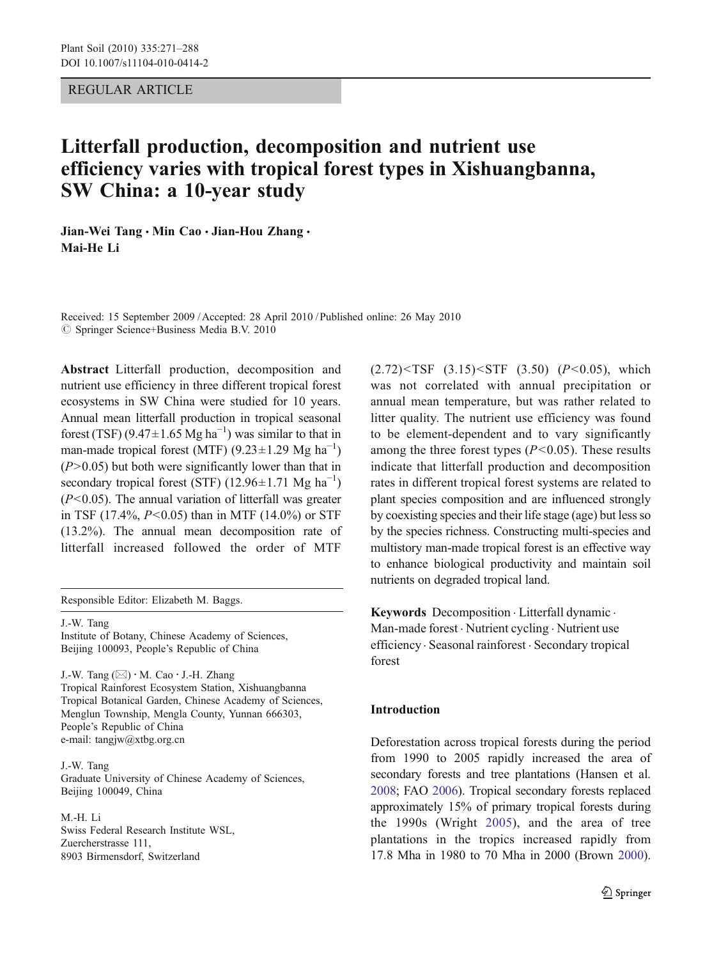# <span id="page-0-0"></span>REGULAR ARTICLE

# Litterfall production, decomposition and nutrient use efficiency varies with tropical forest types in Xishuangbanna, SW China: a 10-year study

Jian-Wei Tang · Min Cao · Jian-Hou Zhang · Mai-He Li

Received: 15 September 2009 /Accepted: 28 April 2010 / Published online: 26 May 2010  $\oslash$  Springer Science+Business Media B.V. 2010

Abstract Litterfall production, decomposition and nutrient use efficiency in three different tropical forest ecosystems in SW China were studied for 10 years. Annual mean litterfall production in tropical seasonal forest (TSF)  $(9.47 \pm 1.65 \text{ Mg ha}^{-1})$  was similar to that in man-made tropical forest (MTF)  $(9.23 \pm 1.29 \text{ Mg ha}^{-1})$  $(P>0.05)$  but both were significantly lower than that in secondary tropical forest (STF) (12.96±1.71 Mg ha<sup>-1</sup>)  $(P<0.05)$ . The annual variation of litterfall was greater in TSF (17.4%,  $P < 0.05$ ) than in MTF (14.0%) or STF (13.2%). The annual mean decomposition rate of litterfall increased followed the order of MTF

Responsible Editor: Elizabeth M. Baggs.

J.-W. Tang Institute of Botany, Chinese Academy of Sciences, Beijing 100093, People's Republic of China

J.-W. Tang  $(\boxtimes) \cdot M$ . Cao  $\cdot$  J.-H. Zhang Tropical Rainforest Ecosystem Station, Xishuangbanna Tropical Botanical Garden, Chinese Academy of Sciences, Menglun Township, Mengla County, Yunnan 666303, People's Republic of China e-mail: tangjw@xtbg.org.cn

J.-W. Tang Graduate University of Chinese Academy of Sciences, Beijing 100049, China

M.-H. Li Swiss Federal Research Institute WSL, Zuercherstrasse 111, 8903 Birmensdorf, Switzerland

 $(2.72)$  <TSF  $(3.15)$  <STF  $(3.50)$   $(P<0.05)$ , which was not correlated with annual precipitation or annual mean temperature, but was rather related to litter quality. The nutrient use efficiency was found to be element-dependent and to vary significantly among the three forest types  $(P<0.05)$ . These results indicate that litterfall production and decomposition rates in different tropical forest systems are related to plant species composition and are influenced strongly by coexisting species and their life stage (age) but less so by the species richness. Constructing multi-species and multistory man-made tropical forest is an effective way to enhance biological productivity and maintain soil nutrients on degraded tropical land.

Keywords Decomposition . Litterfall dynamic . Man-made forest . Nutrient cycling . Nutrient use efficiency . Seasonal rainforest . Secondary tropical forest

# Introduction

Deforestation across tropical forests during the period from 1990 to 2005 rapidly increased the area of secondary forests and tree plantations (Hansen et al. [2008](#page-15-0); FAO [2006](#page-15-0)). Tropical secondary forests replaced approximately 15% of primary tropical forests during the 1990s (Wright [2005\)](#page-17-0), and the area of tree plantations in the tropics increased rapidly from 17.8 Mha in 1980 to 70 Mha in 2000 (Brown [2000\)](#page-15-0).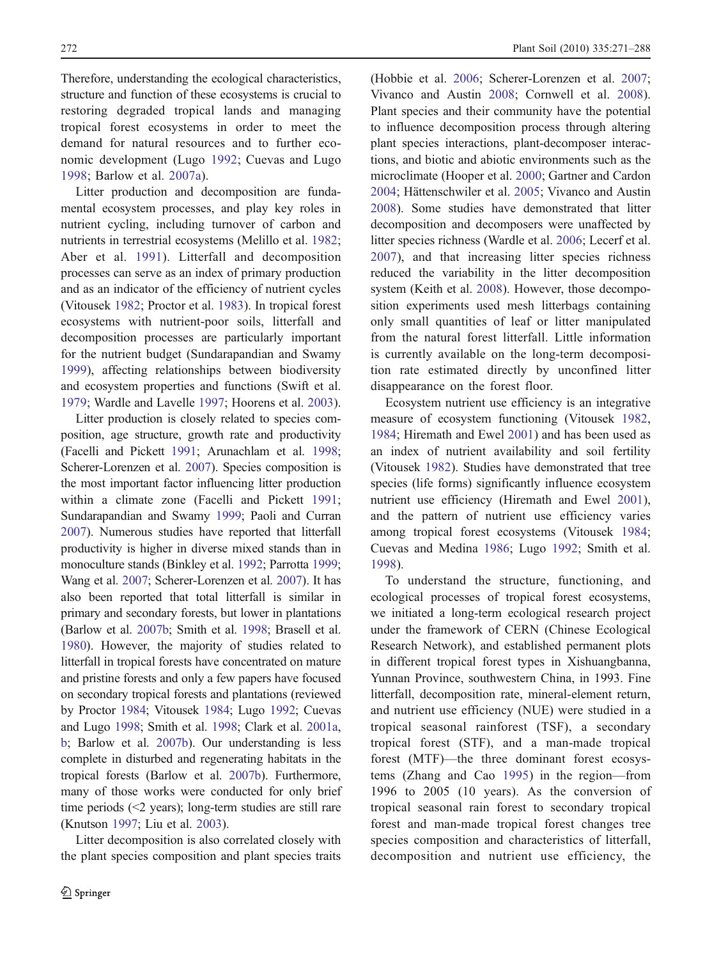Therefore, understanding the ecological characteristics, structure and function of these ecosystems is crucial to restoring degraded tropical lands and managing tropical forest ecosystems in order to meet the demand for natural resources and to further economic development (Lugo [1992;](#page-16-0) Cuevas and Lugo [1998](#page-15-0); Barlow et al. [2007a\)](#page-15-0).

Litter production and decomposition are fundamental ecosystem processes, and play key roles in nutrient cycling, including turnover of carbon and nutrients in terrestrial ecosystems (Melillo et al. [1982](#page-16-0); Aber et al. [1991\)](#page-15-0). Litterfall and decomposition processes can serve as an index of primary production and as an indicator of the efficiency of nutrient cycles (Vitousek [1982](#page-16-0); Proctor et al. [1983](#page-16-0)). In tropical forest ecosystems with nutrient-poor soils, litterfall and decomposition processes are particularly important for the nutrient budget (Sundarapandian and Swamy [1999\)](#page-16-0), affecting relationships between biodiversity and ecosystem properties and functions (Swift et al. [1979;](#page-16-0) Wardle and Lavelle [1997;](#page-17-0) Hoorens et al. [2003](#page-16-0)).

Litter production is closely related to species composition, age structure, growth rate and productivity (Facelli and Pickett [1991](#page-15-0); Arunachlam et al. [1998](#page-15-0); Scherer-Lorenzen et al. [2007](#page-16-0)). Species composition is the most important factor influencing litter production within a climate zone (Facelli and Pickett [1991](#page-15-0); Sundarapandian and Swamy [1999](#page-16-0); Paoli and Curran [2007](#page-16-0)). Numerous studies have reported that litterfall productivity is higher in diverse mixed stands than in monoculture stands (Binkley et al. [1992;](#page-15-0) Parrotta [1999](#page-16-0); Wang et al. [2007;](#page-16-0) Scherer-Lorenzen et al. [2007](#page-16-0)). It has also been reported that total litterfall is similar in primary and secondary forests, but lower in plantations (Barlow et al. [2007b;](#page-15-0) Smith et al. [1998](#page-16-0); Brasell et al. [1980](#page-15-0)). However, the majority of studies related to litterfall in tropical forests have concentrated on mature and pristine forests and only a few papers have focused on secondary tropical forests and plantations (reviewed by Proctor [1984](#page-16-0); Vitousek [1984](#page-16-0); Lugo [1992;](#page-16-0) Cuevas and Lugo [1998;](#page-15-0) Smith et al. [1998](#page-16-0); Clark et al. [2001a,](#page-15-0) [b;](#page-15-0) Barlow et al. [2007b\)](#page-15-0). Our understanding is less complete in disturbed and regenerating habitats in the tropical forests (Barlow et al. [2007b\)](#page-15-0). Furthermore, many of those works were conducted for only brief time periods (<2 years); long-term studies are still rare (Knutson [1997;](#page-16-0) Liu et al. [2003\)](#page-16-0).

Litter decomposition is also correlated closely with the plant species composition and plant species traits (Hobbie et al. [2006](#page-15-0); Scherer-Lorenzen et al. [2007;](#page-16-0) Vivanco and Austin [2008;](#page-16-0) Cornwell et al. [2008\)](#page-15-0). Plant species and their community have the potential to influence decomposition process through altering plant species interactions, plant-decomposer interactions, and biotic and abiotic environments such as the microclimate (Hooper et al. [2000](#page-16-0); Gartner and Cardon [2004;](#page-15-0) Hättenschwiler et al. [2005](#page-15-0); Vivanco and Austin [2008\)](#page-16-0). Some studies have demonstrated that litter decomposition and decomposers were unaffected by litter species richness (Wardle et al. [2006;](#page-17-0) Lecerf et al. [2007](#page-16-0)), and that increasing litter species richness reduced the variability in the litter decomposition system (Keith et al. [2008](#page-16-0)). However, those decomposition experiments used mesh litterbags containing only small quantities of leaf or litter manipulated from the natural forest litterfall. Little information is currently available on the long-term decomposition rate estimated directly by unconfined litter disappearance on the forest floor.

Ecosystem nutrient use efficiency is an integrative measure of ecosystem functioning (Vitousek [1982,](#page-16-0) [1984;](#page-16-0) Hiremath and Ewel [2001\)](#page-15-0) and has been used as an index of nutrient availability and soil fertility (Vitousek [1982\)](#page-16-0). Studies have demonstrated that tree species (life forms) significantly influence ecosystem nutrient use efficiency (Hiremath and Ewel [2001\)](#page-15-0), and the pattern of nutrient use efficiency varies among tropical forest ecosystems (Vitousek [1984;](#page-16-0) Cuevas and Medina [1986;](#page-15-0) Lugo [1992](#page-16-0); Smith et al. [1998\)](#page-16-0).

To understand the structure, functioning, and ecological processes of tropical forest ecosystems, we initiated a long-term ecological research project under the framework of CERN (Chinese Ecological Research Network), and established permanent plots in different tropical forest types in Xishuangbanna, Yunnan Province, southwestern China, in 1993. Fine litterfall, decomposition rate, mineral-element return, and nutrient use efficiency (NUE) were studied in a tropical seasonal rainforest (TSF), a secondary tropical forest (STF), and a man-made tropical forest (MTF)—the three dominant forest ecosystems (Zhang and Cao [1995\)](#page-17-0) in the region—from 1996 to 2005 (10 years). As the conversion of tropical seasonal rain forest to secondary tropical forest and man-made tropical forest changes tree species composition and characteristics of litterfall, decomposition and nutrient use efficiency, the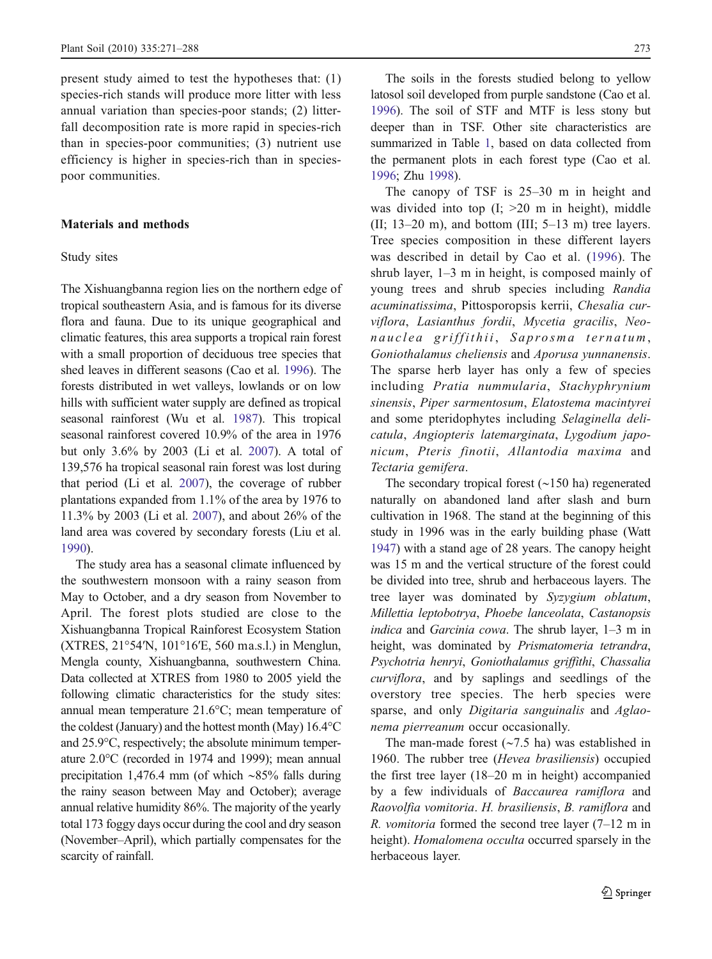present study aimed to test the hypotheses that: (1) species-rich stands will produce more litter with less annual variation than species-poor stands; (2) litterfall decomposition rate is more rapid in species-rich than in species-poor communities; (3) nutrient use efficiency is higher in species-rich than in speciespoor communities.

### Materials and methods

#### Study sites

The Xishuangbanna region lies on the northern edge of tropical southeastern Asia, and is famous for its diverse flora and fauna. Due to its unique geographical and climatic features, this area supports a tropical rain forest with a small proportion of deciduous tree species that shed leaves in different seasons (Cao et al. [1996\)](#page-15-0). The forests distributed in wet valleys, lowlands or on low hills with sufficient water supply are defined as tropical seasonal rainforest (Wu et al. [1987](#page-17-0)). This tropical seasonal rainforest covered 10.9% of the area in 1976 but only 3.6% by 2003 (Li et al. [2007\)](#page-16-0). A total of 139,576 ha tropical seasonal rain forest was lost during that period (Li et al. [2007](#page-16-0)), the coverage of rubber plantations expanded from 1.1% of the area by 1976 to 11.3% by 2003 (Li et al. [2007](#page-16-0)), and about 26% of the land area was covered by secondary forests (Liu et al. [1990](#page-16-0)).

The study area has a seasonal climate influenced by the southwestern monsoon with a rainy season from May to October, and a dry season from November to April. The forest plots studied are close to the Xishuangbanna Tropical Rainforest Ecosystem Station (XTRES, 21°54′N, 101°16′E, 560 ma.s.l.) in Menglun, Mengla county, Xishuangbanna, southwestern China. Data collected at XTRES from 1980 to 2005 yield the following climatic characteristics for the study sites: annual mean temperature 21.6°C; mean temperature of the coldest (January) and the hottest month (May) 16.4°C and 25.9°C, respectively; the absolute minimum temperature 2.0°C (recorded in 1974 and 1999); mean annual precipitation 1,476.4 mm (of which ∼85% falls during the rainy season between May and October); average annual relative humidity 86%. The majority of the yearly total 173 foggy days occur during the cool and dry season (November–April), which partially compensates for the scarcity of rainfall.

The soils in the forests studied belong to yellow latosol soil developed from purple sandstone (Cao et al. [1996](#page-15-0)). The soil of STF and MTF is less stony but deeper than in TSF. Other site characteristics are summarized in Table [1](#page-3-0), based on data collected from the permanent plots in each forest type (Cao et al. [1996](#page-15-0); Zhu [1998\)](#page-17-0).

The canopy of TSF is 25–30 m in height and was divided into top  $(I; >20$  m in height), middle (II;  $13-20$  m), and bottom (III;  $5-13$  m) tree layers. Tree species composition in these different layers was described in detail by Cao et al. [\(1996\)](#page-15-0). The shrub layer, 1–3 m in height, is composed mainly of young trees and shrub species including Randia acuminatissima, Pittosporopsis kerrii, Chesalia curviflora, Lasianthus fordii, Mycetia gracilis, Neonauclea griffithii, Saprosma ternatum, Goniothalamus cheliensis and Aporusa yunnanensis. The sparse herb layer has only a few of species including Pratia nummularia, Stachyphrynium sinensis, Piper sarmentosum, Elatostema macintyrei and some pteridophytes including Selaginella delicatula, Angiopteris latemarginata, Lygodium japonicum, Pteris finotii, Allantodia maxima and Tectaria gemifera.

The secondary tropical forest (∼150 ha) regenerated naturally on abandoned land after slash and burn cultivation in 1968. The stand at the beginning of this study in 1996 was in the early building phase (Watt [1947](#page-17-0)) with a stand age of 28 years. The canopy height was 15 m and the vertical structure of the forest could be divided into tree, shrub and herbaceous layers. The tree layer was dominated by Syzygium oblatum, Millettia leptobotrya, Phoebe lanceolata, Castanopsis indica and Garcinia cowa. The shrub layer, 1–3 m in height, was dominated by Prismatomeria tetrandra, Psychotria henryi, Goniothalamus griffithi, Chassalia curviflora, and by saplings and seedlings of the overstory tree species. The herb species were sparse, and only Digitaria sanguinalis and Aglaonema pierreanum occur occasionally.

The man-made forest (∼7.5 ha) was established in 1960. The rubber tree (Hevea brasiliensis) occupied the first tree layer (18–20 m in height) accompanied by a few individuals of Baccaurea ramiflora and Raovolfia vomitoria. H. brasiliensis, B. ramiflora and *R. vomitoria* formed the second tree layer  $(7-12 \text{ m})$  in height). Homalomena occulta occurred sparsely in the herbaceous layer.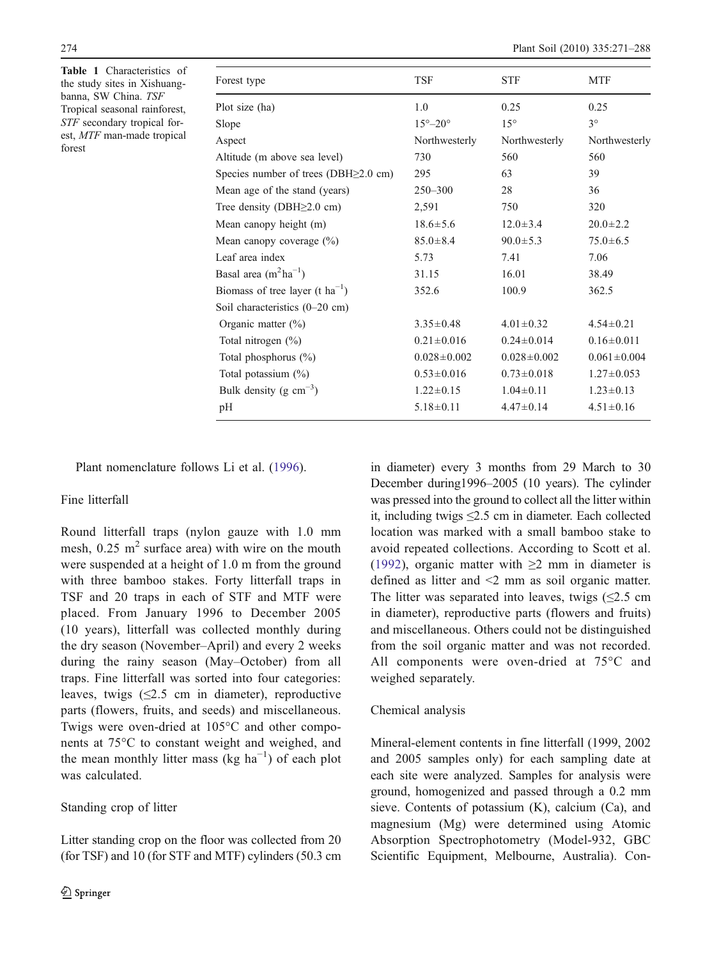<span id="page-3-0"></span>Table 1 Characteristics of the study sites in Xishuangbanna, SW China. TSF Tropical seasonal rainforest, STF secondary tropical forest, MTF man-made tropical forest

| Forest type                                 | <b>TSF</b>                | <b>STF</b>        | <b>MTF</b>        |
|---------------------------------------------|---------------------------|-------------------|-------------------|
| Plot size (ha)                              | 1.0                       | 0.25              | 0.25              |
| Slope                                       | $15^{\circ} - 20^{\circ}$ | $15^{\circ}$      | $3^{\circ}$       |
| Aspect                                      | Northwesterly             | Northwesterly     | Northwesterly     |
| Altitude (m above sea level)                | 730                       | 560               | 560               |
| Species number of trees (DBH $\geq$ 2.0 cm) | 295                       | 63                | 39                |
| Mean age of the stand (years)               | $250 - 300$               | 28                | 36                |
| Tree density (DBH $\geq$ 2.0 cm)            | 2,591                     | 750               | 320               |
| Mean canopy height (m)                      | $18.6 \pm 5.6$            | $12.0 \pm 3.4$    | $20.0 \pm 2.2$    |
| Mean canopy coverage $(\%)$                 | $85.0 \pm 8.4$            | $90.0 \pm 5.3$    | $75.0 \pm 6.5$    |
| Leaf area index                             | 5.73                      | 7.41              | 7.06              |
| Basal area $(m^2ha^{-1})$                   | 31.15                     | 16.01             | 38.49             |
| Biomass of tree layer (t $ha^{-1}$ )        | 352.6                     | 100.9             | 362.5             |
| Soil characteristics (0-20 cm)              |                           |                   |                   |
| Organic matter $(\% )$                      | $3.35 \pm 0.48$           | $4.01 \pm 0.32$   | $4.54 \pm 0.21$   |
| Total nitrogen $(\% )$                      | $0.21 \pm 0.016$          | $0.24 \pm 0.014$  | $0.16 \pm 0.011$  |
| Total phosphorus $(\%)$                     | $0.028 \pm 0.002$         | $0.028 \pm 0.002$ | $0.061 \pm 0.004$ |
| Total potassium $(\%)$                      | $0.53 \pm 0.016$          | $0.73 \pm 0.018$  | $1.27 \pm 0.053$  |
| Bulk density (g $cm^{-3}$ )                 | $1.22 \pm 0.15$           | $1.04 \pm 0.11$   | $1.23 \pm 0.13$   |
| pH                                          | $5.18 \pm 0.11$           | $4.47 \pm 0.14$   | $4.51 \pm 0.16$   |

Plant nomenclature follows Li et al. [\(1996](#page-16-0)).

# Fine litterfall

Round litterfall traps (nylon gauze with 1.0 mm mesh,  $0.25$  m<sup>2</sup> surface area) with wire on the mouth were suspended at a height of 1.0 m from the ground with three bamboo stakes. Forty litterfall traps in TSF and 20 traps in each of STF and MTF were placed. From January 1996 to December 2005 (10 years), litterfall was collected monthly during the dry season (November–April) and every 2 weeks during the rainy season (May–October) from all traps. Fine litterfall was sorted into four categories: leaves, twigs  $(\leq 2.5 \text{ cm in diameter})$ , reproductive parts (flowers, fruits, and seeds) and miscellaneous. Twigs were oven-dried at 105°C and other components at 75°C to constant weight and weighed, and the mean monthly litter mass (kg  $ha^{-1}$ ) of each plot was calculated.

#### Standing crop of litter

Litter standing crop on the floor was collected from 20 (for TSF) and 10 (for STF and MTF) cylinders (50.3 cm in diameter) every 3 months from 29 March to 30 December during1996–2005 (10 years). The cylinder was pressed into the ground to collect all the litter within it, including twigs  $\leq 2.5$  cm in diameter. Each collected location was marked with a small bamboo stake to avoid repeated collections. According to Scott et al. [\(1992\)](#page-16-0), organic matter with  $\geq$  mm in diameter is defined as litter and <2 mm as soil organic matter. The litter was separated into leaves, twigs  $\leq 2.5$  cm in diameter), reproductive parts (flowers and fruits) and miscellaneous. Others could not be distinguished from the soil organic matter and was not recorded. All components were oven-dried at 75°C and weighed separately.

#### Chemical analysis

Mineral-element contents in fine litterfall (1999, 2002 and 2005 samples only) for each sampling date at each site were analyzed. Samples for analysis were ground, homogenized and passed through a 0.2 mm sieve. Contents of potassium (K), calcium (Ca), and magnesium (Mg) were determined using Atomic Absorption Spectrophotometry (Model-932, GBC Scientific Equipment, Melbourne, Australia). Con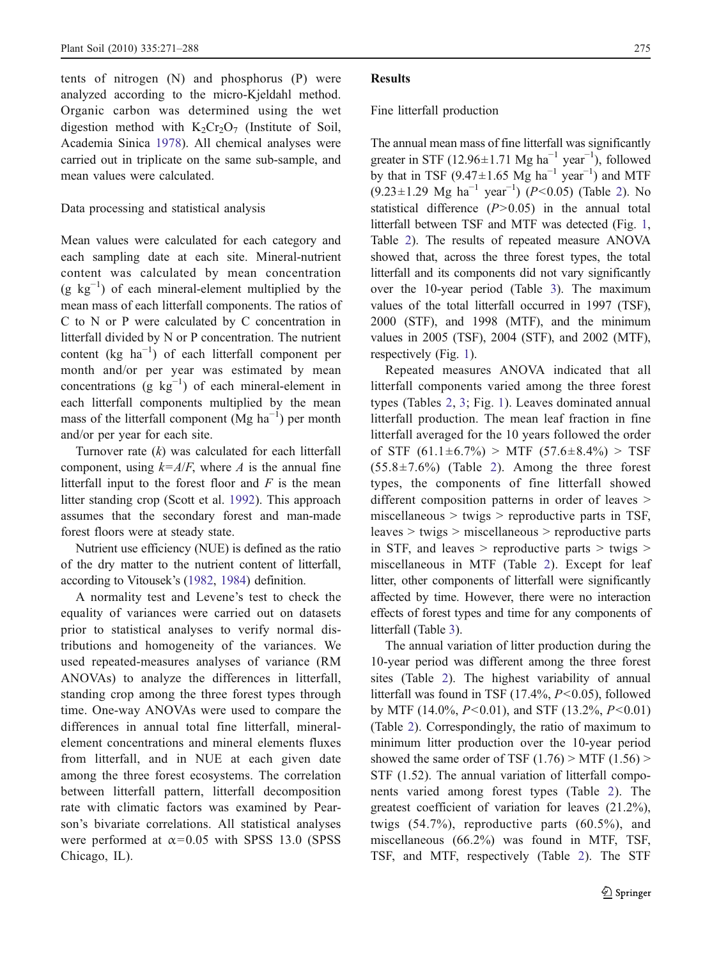tents of nitrogen (N) and phosphorus (P) were analyzed according to the micro-Kjeldahl method. Organic carbon was determined using the wet digestion method with  $K_2Cr_2O_7$  (Institute of Soil, Academia Sinica [1978\)](#page-16-0). All chemical analyses were carried out in triplicate on the same sub-sample, and mean values were calculated.

# Data processing and statistical analysis

Mean values were calculated for each category and each sampling date at each site. Mineral-nutrient content was calculated by mean concentration  $(g \text{ kg}^{-1})$  of each mineral-element multiplied by the mean mass of each litterfall components. The ratios of C to N or P were calculated by C concentration in litterfall divided by N or P concentration. The nutrient content (kg  $ha^{-1}$ ) of each litterfall component per month and/or per year was estimated by mean concentrations  $(g \ kg^{-1})$  of each mineral-element in each litterfall components multiplied by the mean mass of the litterfall component (Mg  $ha^{-1}$ ) per month and/or per year for each site.

Turnover rate  $(k)$  was calculated for each litterfall component, using  $k = A/F$ , where A is the annual fine litterfall input to the forest floor and  $F$  is the mean litter standing crop (Scott et al. [1992](#page-16-0)). This approach assumes that the secondary forest and man-made forest floors were at steady state.

Nutrient use efficiency (NUE) is defined as the ratio of the dry matter to the nutrient content of litterfall, according to Vitousek's [\(1982,](#page-16-0) [1984](#page-16-0)) definition.

A normality test and Levene's test to check the equality of variances were carried out on datasets prior to statistical analyses to verify normal distributions and homogeneity of the variances. We used repeated-measures analyses of variance (RM ANOVAs) to analyze the differences in litterfall, standing crop among the three forest types through time. One-way ANOVAs were used to compare the differences in annual total fine litterfall, mineralelement concentrations and mineral elements fluxes from litterfall, and in NUE at each given date among the three forest ecosystems. The correlation between litterfall pattern, litterfall decomposition rate with climatic factors was examined by Pearson's bivariate correlations. All statistical analyses were performed at  $\alpha$ =0.05 with SPSS 13.0 (SPSS Chicago, IL).

# Results

# Fine litterfall production

The annual mean mass of fine litterfall was significantly greater in STF (12.96 $\pm$ 1.71 Mg ha<sup>-1</sup> year<sup>-1</sup>), followed by that in TSF (9.47 $\pm$ 1.65 Mg ha<sup>-1</sup> year<sup>-1</sup>) and MTF  $(9.23 \pm 1.29$  $(9.23 \pm 1.29$  $(9.23 \pm 1.29$  Mg ha<sup>-1</sup> year<sup>-1</sup>) (P<0.05) (Table 2). No statistical difference  $(P>0.05)$  in the annual total litterfall between TSF and MTF was detected (Fig. [1,](#page-6-0) Table [2](#page-5-0)). The results of repeated measure ANOVA showed that, across the three forest types, the total litterfall and its components did not vary significantly over the 10-year period (Table [3\)](#page-7-0). The maximum values of the total litterfall occurred in 1997 (TSF), 2000 (STF), and 1998 (MTF), and the minimum values in 2005 (TSF), 2004 (STF), and 2002 (MTF), respectively (Fig. [1](#page-6-0)).

Repeated measures ANOVA indicated that all litterfall components varied among the three forest types (Tables [2,](#page-5-0) [3](#page-7-0); Fig. [1\)](#page-6-0). Leaves dominated annual litterfall production. The mean leaf fraction in fine litterfall averaged for the 10 years followed the order of STF  $(61.1 \pm 6.7\%)$  > MTF  $(57.6 \pm 8.4\%)$  > TSF  $(55.8 \pm 7.6\%)$  (Table [2](#page-5-0)). Among the three forest types, the components of fine litterfall showed different composition patterns in order of leaves  $>$ miscellaneous  $>$  twigs  $>$  reproductive parts in TSF, leaves > twigs > miscellaneous > reproductive parts in STF, and leaves  $>$  reproductive parts  $>$  twigs  $>$ miscellaneous in MTF (Table [2](#page-5-0)). Except for leaf litter, other components of litterfall were significantly affected by time. However, there were no interaction effects of forest types and time for any components of litterfall (Table [3](#page-7-0)).

The annual variation of litter production during the 10-year period was different among the three forest sites (Table [2\)](#page-5-0). The highest variability of annual litterfall was found in TSF  $(17.4\%, P<0.05)$ , followed by MTF (14.0%,  $P<0.01$ ), and STF (13.2%,  $P<0.01$ ) (Table [2\)](#page-5-0). Correspondingly, the ratio of maximum to minimum litter production over the 10-year period showed the same order of TSF  $(1.76)$  > MTF  $(1.56)$  > STF (1.52). The annual variation of litterfall components varied among forest types (Table [2](#page-5-0)). The greatest coefficient of variation for leaves (21.2%), twigs (54.7%), reproductive parts (60.5%), and miscellaneous (66.2%) was found in MTF, TSF, TSF, and MTF, respectively (Table [2\)](#page-5-0). The STF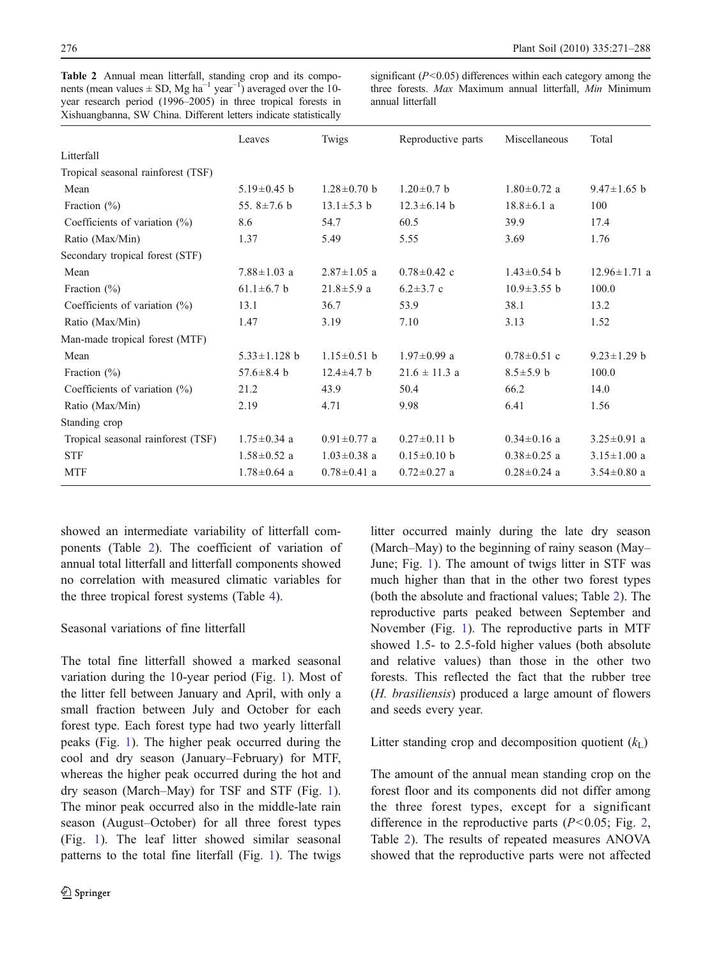<span id="page-5-0"></span>Table 2 Annual mean litterfall, standing crop and its compo-**Table 2** Annual mean litterfall, standing crop and its components (mean values  $\pm$  SD, Mg ha<sup>-1</sup> year<sup>-1</sup>) averaged over the 10-10-year research period (1996–2005) in three tropical forests in year research period (1996–2005) in three tropical forests Xishuangbanna, SW China. Different letters indicate statistically

significant ( $P < 0.05$ ) differences within each category among the three forests. Max Maximum annual litterfall, Min Minimum annual litterfall, Ministers. Maxwell, Ministers. Maxwell, Ministers. Maxwell, Ministers. Ministers. Ministers

|                                    | Leaves             | Twigs             | Reproductive parts | Miscellaneous     | Total              |
|------------------------------------|--------------------|-------------------|--------------------|-------------------|--------------------|
| Litterfall                         |                    |                   |                    |                   |                    |
| Tropical seasonal rainforest (TSF) |                    |                   |                    |                   |                    |
| Mean                               | $5.19 \pm 0.45$ b  | $1.28 \pm 0.70$ b | $1.20 \pm 0.7$ b   | $1.80 \pm 0.72$ a | $9.47 \pm 1.65$ b  |
| Fraction $(\%)$                    | 55.8 $\pm$ 7.6 b   | $13.1 \pm 5.3$ b  | $12.3 \pm 6.14$ h  | $18.8 \pm 6.1$ a  | 100                |
| Coefficients of variation $(\%)$   | 8.6                | 54.7              | 60.5               | 39.9              | 17.4               |
| Ratio (Max/Min)                    | 1.37               | 5.49              | 5.55               | 3.69              | 1.76               |
| Secondary tropical forest (STF)    |                    |                   |                    |                   |                    |
| Mean                               | $7.88 \pm 1.03$ a  | $2.87 \pm 1.05$ a | $0.78 \pm 0.42$ c  | $1.43 \pm 0.54$ h | $12.96 \pm 1.71$ a |
| Fraction $(\%)$                    | $61.1 \pm 6.7$ b   | $21.8 \pm 5.9$ a  | $6.2 \pm 3.7$ c    | $10.9 \pm 3.55$ b | 100.0              |
| Coefficients of variation $(\%)$   | 13.1               | 36.7              | 53.9               | 38.1              | 13.2               |
| Ratio (Max/Min)                    | 1.47               | 3.19              | 7.10               | 3.13              | 1.52               |
| Man-made tropical forest (MTF)     |                    |                   |                    |                   |                    |
| Mean                               | $5.33 \pm 1.128$ b | $1.15 \pm 0.51$ b | $1.97 \pm 0.99$ a  | $0.78 \pm 0.51$ c | $9.23 \pm 1.29$ h  |
| Fraction $(\%)$                    | 57.6 $\pm$ 8.4 b   | $12.4 \pm 4.7$ b  | $21.6 \pm 11.3$ a  | $8.5 \pm 5.9$ b   | 100.0              |
| Coefficients of variation $(\%)$   | 21.2               | 43.9              | 50.4               | 66.2              | 14.0               |
| Ratio (Max/Min)                    | 2.19               | 4.71              | 9.98               | 6.41              | 1.56               |
| Standing crop                      |                    |                   |                    |                   |                    |
| Tropical seasonal rainforest (TSF) | $1.75 \pm 0.34$ a  | $0.91 \pm 0.77$ a | $0.27 \pm 0.11$ b  | $0.34 \pm 0.16$ a | $3.25 \pm 0.91$ a  |
| <b>STF</b>                         | $1.58 \pm 0.52$ a  | $1.03 \pm 0.38$ a | $0.15 \pm 0.10$ b  | $0.38 \pm 0.25$ a | $3.15 \pm 1.00$ a  |
| <b>MTF</b>                         | $1.78 \pm 0.64$ a  | $0.78 \pm 0.41$ a | $0.72 \pm 0.27$ a  | $0.28 \pm 0.24$ a | $3.54 \pm 0.80$ a  |
|                                    |                    |                   |                    |                   |                    |

showed an intermediate variability of litterfall components (Table 2). The coefficient of variation of annual total litterfall and litterfall components showed no correlation with measured climatic variables for the three tropical forest systems (Table [4\)](#page-7-0).

# Seasonal variations of fine litterfall

The total fine litterfall showed a marked seasonal variation during the 10-year period (Fig. [1\)](#page-6-0). Most of the litter fell between January and April, with only a small fraction between July and October for each forest type. Each forest type had two yearly litterfall peaks (Fig. [1](#page-6-0)). The higher peak occurred during the cool and dry season (January–February) for MTF, whereas the higher peak occurred during the hot and dry season (March–May) for TSF and STF (Fig. [1](#page-6-0)). The minor peak occurred also in the middle-late rain season (August–October) for all three forest types (Fig. [1](#page-6-0)). The leaf litter showed similar seasonal patterns to the total fine literfall (Fig. [1\)](#page-6-0). The twigs

litter occurred mainly during the late dry season (March–May) to the beginning of rainy season (May– June; Fig. [1](#page-6-0)). The amount of twigs litter in STF was much higher than that in the other two forest types (both the absolute and fractional values; Table 2). The reproductive parts peaked between September and November (Fig. [1\)](#page-6-0). The reproductive parts in MTF showed 1.5- to 2.5-fold higher values (both absolute and relative values) than those in the other two forests. This reflected the fact that the rubber tree (H. brasiliensis) produced a large amount of flowers and seeds every year.

Litter standing crop and decomposition quotient  $(k<sub>L</sub>)$ 

The amount of the annual mean standing crop on the forest floor and its components did not differ among the three forest types, except for a significant difference in the reproductive parts  $(P<0.05$ ; Fig. [2,](#page-8-0) Table 2). The results of repeated measures ANOVA showed that the reproductive parts were not affected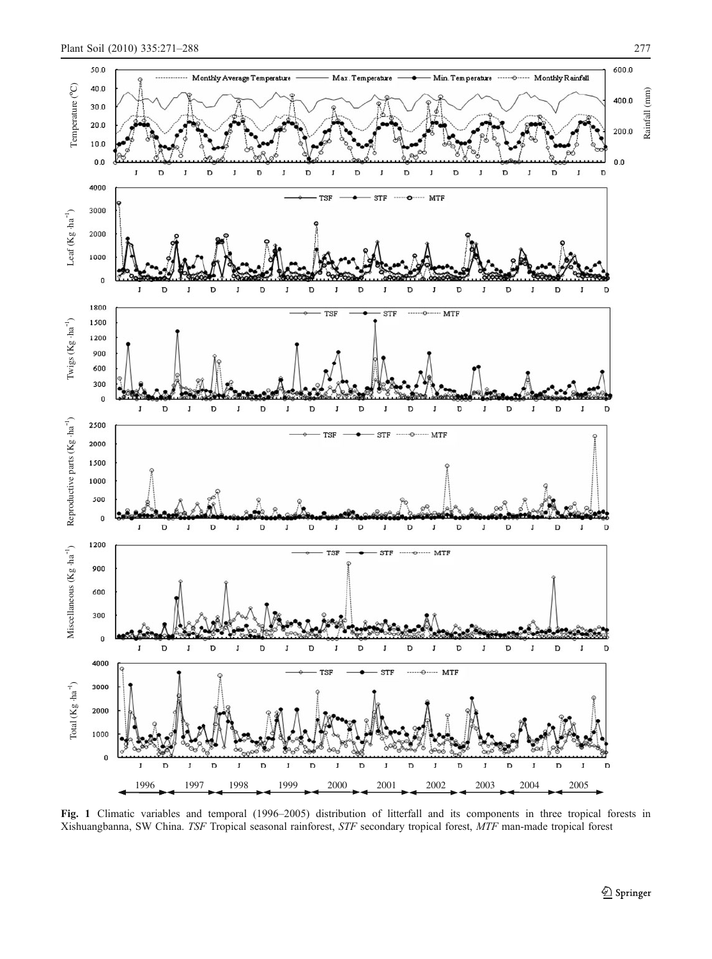<span id="page-6-0"></span>

Fig. 1 Climatic variables and temporal (1996–2005) distribution of litterfall and its components in three tropical forests in Xishuangbanna, SW China. TSF Tropical seasonal rainforest, STF secondary tropical forest, MTF man-made tropical forest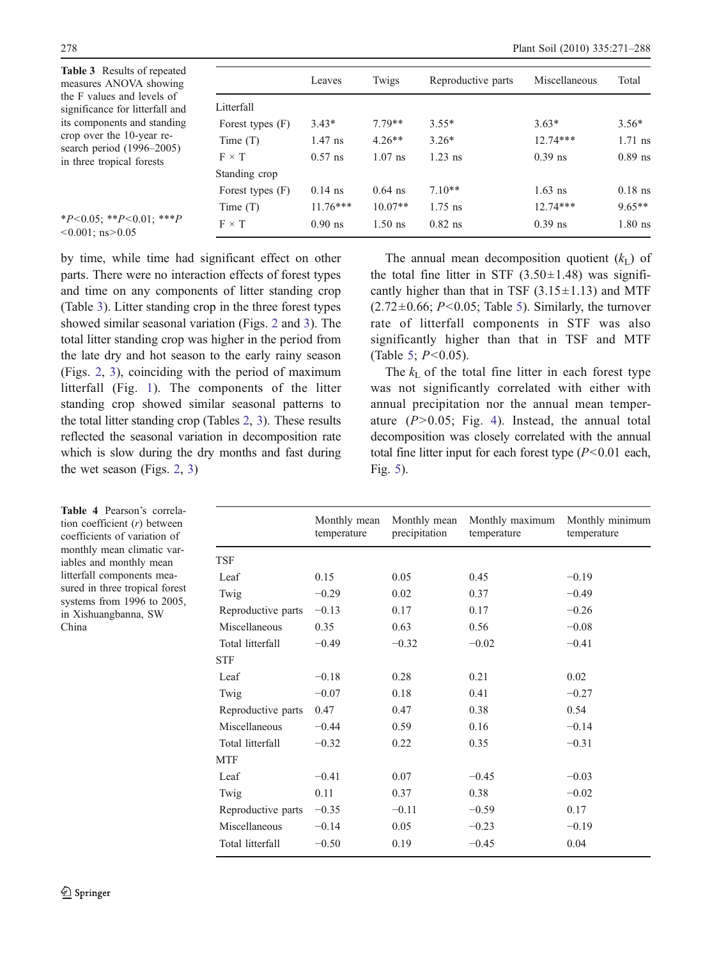<span id="page-7-0"></span>

| <b>Table 3</b> Results of repeated<br>measures ANOVA showing  |                    | Leaves     | Twigs     | Reproductive parts | Miscellaneous | Total     |
|---------------------------------------------------------------|--------------------|------------|-----------|--------------------|---------------|-----------|
| the F values and levels of<br>significance for litterfall and | Litterfall         |            |           |                    |               |           |
| its components and standing                                   | Forest types (F)   | $3.43*$    | $7.79**$  | $3.55*$            | $3.63*$       | $3.56*$   |
| crop over the 10-year re-                                     | Time $(T)$         | $1.47$ ns  | $4.26**$  | $3.26*$            | $12.74***$    | $1.71$ ns |
| search period $(1996-2005)$<br>in three tropical forests      | $F \times T$       | $0.57$ ns  | $1.07$ ns | $1.23$ ns          | $0.39$ ns     | $0.89$ ns |
|                                                               | Standing crop      |            |           |                    |               |           |
|                                                               | Forest types $(F)$ | $0.14$ ns  | $0.64$ ns | $7.10**$           | $1.63$ ns     | $0.18$ ns |
|                                                               | Time $(T)$         | $11.76***$ | $10.07**$ | $1.75$ ns          | $12.74***$    | $9.65**$  |
| $*P<0.05$ ; $*P<0.01$ ; $**P$<br>$< 0.001$ ; ns $> 0.05$      | $F \times T$       | $0.90$ ns  | $1.50$ ns | $0.82$ ns          | $0.39$ ns     | $1.80$ ns |

by time, while time had significant effect on other parts. There were no interaction effects of forest types and time on any components of litter standing crop (Table 3). Litter standing crop in the three forest types showed similar seasonal variation (Figs. [2](#page-8-0) and [3](#page-8-0)). The total litter standing crop was higher in the period from the late dry and hot season to the early rainy season (Figs. [2](#page-8-0), [3](#page-8-0)), coinciding with the period of maximum litterfall (Fig. [1\)](#page-6-0). The components of the litter standing crop showed similar seasonal patterns to the total litter standing crop (Tables [2,](#page-5-0) 3). These results reflected the seasonal variation in decomposition rate which is slow during the dry months and fast during the wet season (Figs. [2,](#page-8-0) [3](#page-8-0))

The annual mean decomposition quotient  $(k_L)$  of the total fine litter in STF  $(3.50 \pm 1.48)$  was significantly higher than that in TSF  $(3.15 \pm 1.13)$  and MTF  $(2.72\pm0.66; P<0.05;$  Table [5\)](#page-9-0). Similarly, the turnover rate of litterfall components in STF was also significantly higher than that in TSF and MTF (Table [5](#page-9-0);  $P < 0.05$ ).

The  $k_{\text{L}}$  of the total fine litter in each forest type was not significantly correlated with either with annual precipitation nor the annual mean temperature  $(P>0.05$ ; Fig. [4](#page-9-0)). Instead, the annual total decomposition was closely correlated with the annual total fine litter input for each forest type  $(P<0.01$  each, Fig. [5](#page-10-0)).

|                    | Monthly mean<br>temperature | Monthly mean<br>precipitation | Monthly maximum<br>temperature | Monthly minimum<br>temperature |
|--------------------|-----------------------------|-------------------------------|--------------------------------|--------------------------------|
| TSF                |                             |                               |                                |                                |
| Leaf               | 0.15                        | 0.05                          | 0.45                           | $-0.19$                        |
| Twig               | $-0.29$                     | 0.02                          | 0.37                           | $-0.49$                        |
| Reproductive parts | $-0.13$                     | 0.17                          | 0.17                           | $-0.26$                        |
| Miscellaneous      | 0.35                        | 0.63                          | 0.56                           | $-0.08$                        |
| Total litterfall   | $-0.49$                     | $-0.32$                       | $-0.02$                        | $-0.41$                        |
| <b>STF</b>         |                             |                               |                                |                                |
| Leaf               | $-0.18$                     | 0.28                          | 0.21                           | 0.02                           |
| Twig               | $-0.07$                     | 0.18                          | 0.41                           | $-0.27$                        |
| Reproductive parts | 0.47                        | 0.47                          | 0.38                           | 0.54                           |
| Miscellaneous      | $-0.44$                     | 0.59                          | 0.16                           | $-0.14$                        |
| Total litterfall   | $-0.32$                     | 0.22                          | 0.35                           | $-0.31$                        |
| <b>MTF</b>         |                             |                               |                                |                                |
| Leaf               | $-0.41$                     | 0.07                          | $-0.45$                        | $-0.03$                        |
| Twig               | 0.11                        | 0.37                          | 0.38                           | $-0.02$                        |
| Reproductive parts | $-0.35$                     | $-0.11$                       | $-0.59$                        | 0.17                           |
| Miscellaneous      | $-0.14$                     | 0.05                          | $-0.23$                        | $-0.19$                        |
| Total litterfall   | $-0.50$                     | 0.19                          | $-0.45$                        | 0.04                           |

Table 4 Pearson's correlation coefficient (r) between coefficients of variation of monthly mean climatic variables and monthly mean litterfall components measured in three tropical forest systems from 1996 to 2005, in Xishuangbanna, SW China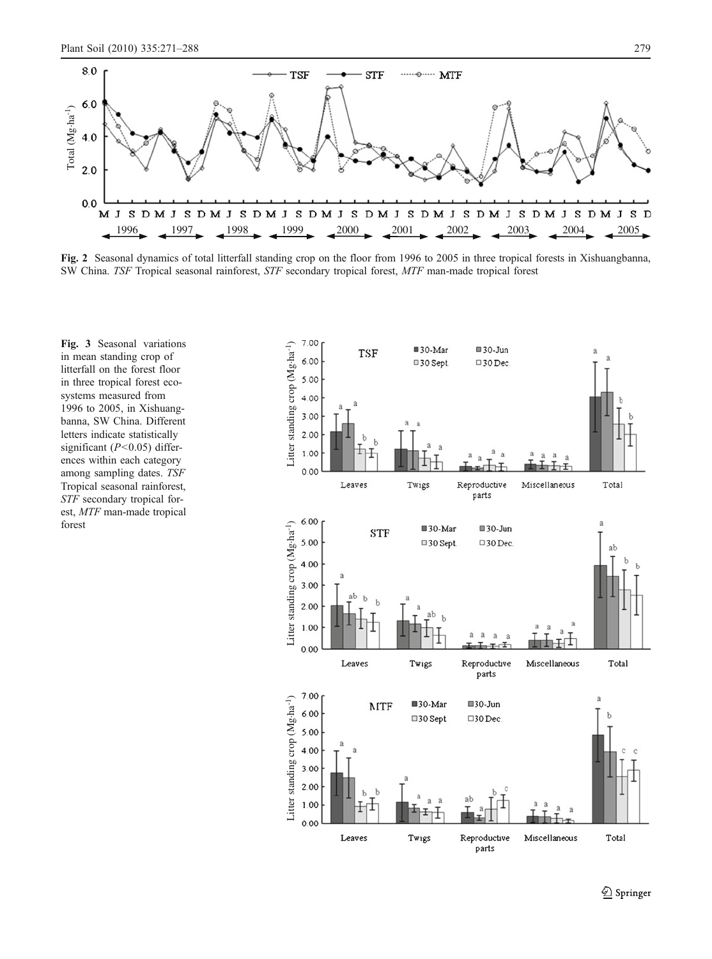<span id="page-8-0"></span>

Fig. 2 Seasonal dynamics of total litterfall standing crop on the floor from 1996 to 2005 in three tropical forests in Xishuangbanna, SW China. TSF Tropical seasonal rainforest, STF secondary tropical forest, MTF man-made tropical forest

Fig. 3 Seasonal variations in mean standing crop of litterfall on the forest floor in three tropical forest ecosystems measured from 1996 to 2005, in Xishuangbanna, SW China. Different letters indicate statistically significant  $(P<0.05)$  differences within each category among sampling dates. TSF Tropical seasonal rainforest, STF secondary tropical forest, MTF man-made tropical forest

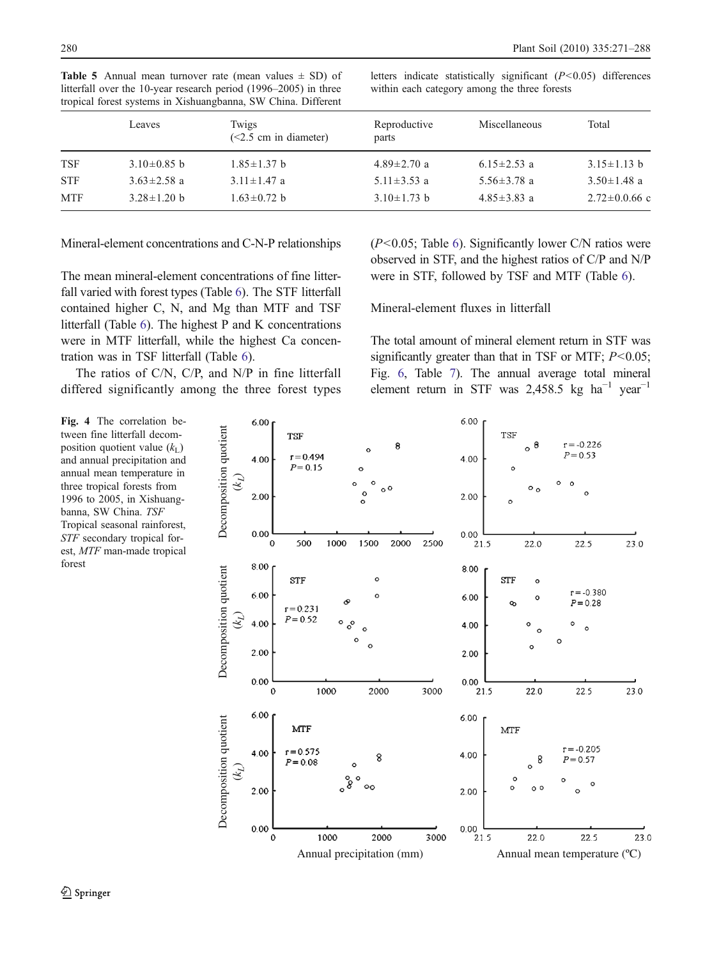<span id="page-9-0"></span>

|  |  |  | <b>Table 5</b> Annual mean turnover rate (mean values $\pm$ SD) of |  |
|--|--|--|--------------------------------------------------------------------|--|
|  |  |  | litterfall over the 10-year research period (1996–2005) in three   |  |
|  |  |  | tropical forest systems in Xishuangbanna, SW China. Different      |  |

letters indicate statistically significant  $(P<0.05)$  differences within each category among the three forests

|            | Leaves            | Twigs<br>$(<2.5$ cm in diameter) | Reproductive<br>parts | Miscellaneous     | Total             |
|------------|-------------------|----------------------------------|-----------------------|-------------------|-------------------|
| <b>TSF</b> | $3.10\pm0.85$ b   | $1.85 \pm 1.37$ b                | $4.89 \pm 2.70$ a     | $6.15 \pm 2.53$ a | $3.15 \pm 1.13$ b |
| <b>STF</b> | $3.63 \pm 2.58$ a | $3.11 \pm 1.47$ a                | 5.11 $\pm$ 3.53 a     | $5.56 \pm 3.78$ a | $3.50 \pm 1.48$ a |
| <b>MTF</b> | $3.28 \pm 1.20$ b | $1.63 \pm 0.72$ b                | $3.10 \pm 1.73$ b     | $4.85 \pm 3.83$ a | $2.72 \pm 0.0.66$ |

Mineral-element concentrations and C-N-P relationships

The mean mineral-element concentrations of fine litterfall varied with forest types (Table [6\)](#page-11-0). The STF litterfall contained higher C, N, and Mg than MTF and TSF litterfall (Table [6\)](#page-11-0). The highest P and K concentrations were in MTF litterfall, while the highest Ca concentration was in TSF litterfall (Table [6\)](#page-11-0).

The ratios of C/N, C/P, and N/P in fine litterfall differed significantly among the three forest types  $(P<0.05$ ; Table [6\)](#page-11-0). Significantly lower C/N ratios were observed in STF, and the highest ratios of C/P and N/P were in STF, followed by TSF and MTF (Table [6\)](#page-11-0).

Mineral-element fluxes in litterfall

The total amount of mineral element return in STF was significantly greater than that in TSF or MTF;  $P < 0.05$ ; Fig. [6,](#page-12-0) Table [7](#page-12-0)). The annual average total mineral element return in STF was 2,458.5 kg ha<sup>-1</sup> year<sup>-1</sup>



Fig. 4 The correlation between fine litterfall decomposition quotient value  $(k_L)$ and annual precipitation and annual mean temperature in three tropical forests from 1996 to 2005, in Xishuangbanna, SW China. TSF Tropical seasonal rainforest, STF secondary tropical forest, MTF man-made tropical forest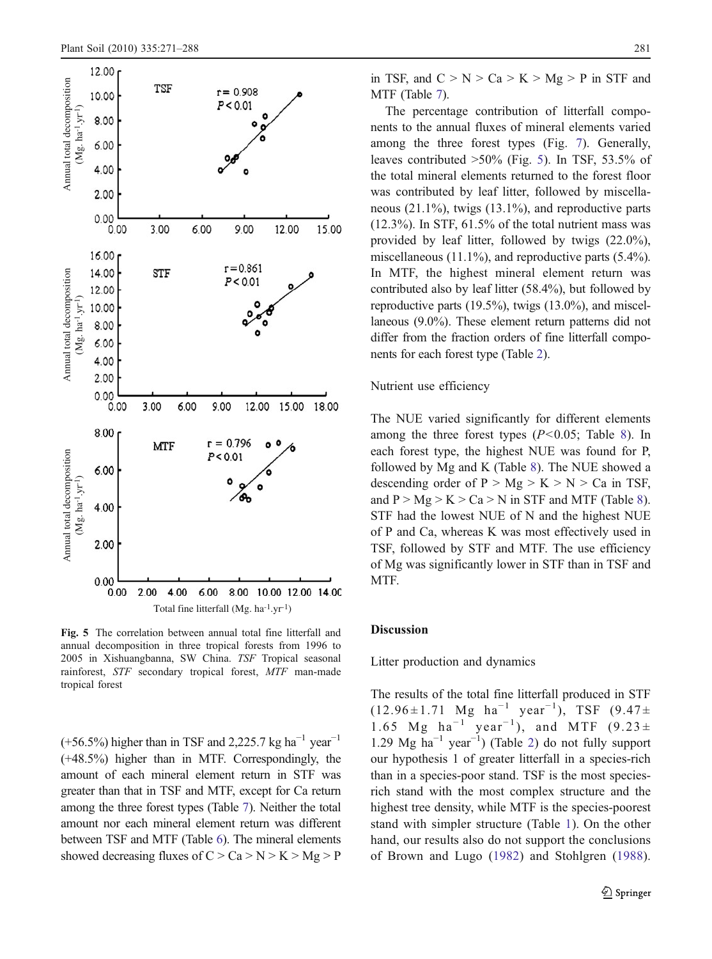<span id="page-10-0"></span>

Fig. 5 The correlation between annual total fine litterfall and annual decomposition in three tropical forests from 1996 to 2005 in Xishuangbanna, SW China. TSF Tropical seasonal rainforest, STF secondary tropical forest, MTF man-made tropical forest

 $(+56.5%)$  higher than in TSF and 2,225.7 kg ha<sup>-1</sup> year<sup>-1</sup> (+48.5%) higher than in MTF. Correspondingly, the amount of each mineral element return in STF was greater than that in TSF and MTF, except for Ca return among the three forest types (Table [7](#page-12-0)). Neither the total amount nor each mineral element return was different between TSF and MTF (Table [6](#page-11-0)). The mineral elements showed decreasing fluxes of  $C > Ca > N > K > Mg > P$  in TSF, and  $C > N > Ca > K > Mg > P$  in STF and MTF (Table [7](#page-12-0)).

The percentage contribution of litterfall components to the annual fluxes of mineral elements varied among the three forest types (Fig. [7\)](#page-13-0). Generally, leaves contributed >50% (Fig. 5). In TSF, 53.5% of the total mineral elements returned to the forest floor was contributed by leaf litter, followed by miscellaneous (21.1%), twigs (13.1%), and reproductive parts (12.3%). In STF, 61.5% of the total nutrient mass was provided by leaf litter, followed by twigs (22.0%), miscellaneous (11.1%), and reproductive parts (5.4%). In MTF, the highest mineral element return was contributed also by leaf litter (58.4%), but followed by reproductive parts (19.5%), twigs (13.0%), and miscellaneous (9.0%). These element return patterns did not differ from the fraction orders of fine litterfall components for each forest type (Table [2](#page-5-0)).

#### Nutrient use efficiency

The NUE varied significantly for different elements among the three forest types  $(P<0.05$ ; Table [8\)](#page-13-0). In each forest type, the highest NUE was found for P, followed by Mg and K (Table [8\)](#page-13-0). The NUE showed a descending order of  $P > Mg > K > N > Ca$  in TSF, and  $P > Mg > K > Ca > N$  in STF and MTF (Table [8\)](#page-13-0). STF had the lowest NUE of N and the highest NUE of P and Ca, whereas K was most effectively used in TSF, followed by STF and MTF. The use efficiency of Mg was significantly lower in STF than in TSF and MTF.

#### Discussion

Litter production and dynamics

The results of the total fine litterfall produced in STF  $(12.96 \pm 1.71 \text{ Mg ha}^{-1} \text{ year}^{-1})$ , TSF  $(9.47 \pm$ 1.65 Mg ha<sup>-1</sup> year<sup>-1</sup>), and MTF  $(9.23 \pm$ 1.29 Mg ha−<sup>1</sup> year−<sup>1</sup> ) (Table [2\)](#page-5-0) do not fully support our hypothesis 1 of greater litterfall in a species-rich than in a species-poor stand. TSF is the most speciesrich stand with the most complex structure and the highest tree density, while MTF is the species-poorest stand with simpler structure (Table [1\)](#page-3-0). On the other hand, our results also do not support the conclusions of Brown and Lugo ([1982](#page-15-0)) and Stohlgren [\(1988](#page-16-0)).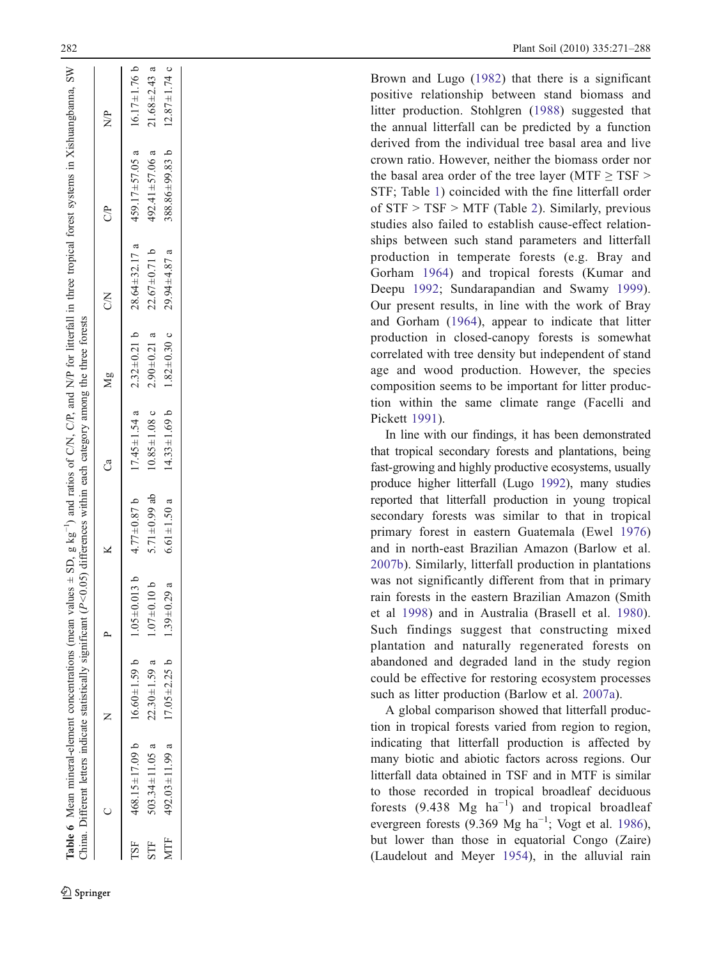<span id="page-11-0"></span>

| $2.32 \pm 0.21$ b<br>$1.82 \pm 0.30$ c<br>$2.90 \pm 0.21$ a<br>$10.85 \pm 1.08$ c<br>$17.45 \pm 1.54$ a<br>5.71 $\pm$ 0.99 ab<br>$4.77 \pm 0.87$ b<br>$6.61 \pm 1.50$ a<br>$1.05 \pm 0.013$ b<br>$1.07 \pm 0.10$ b<br>$1.39 \pm 0.29$ a<br>$468.15 \pm 17.09$ b $16.60 \pm 1.59$ b<br>$17.05 \pm 2.25$ b<br>$22.30 \pm 1.59$ a<br>492.03 $\pm$ 11.99 a<br>$03.34 \pm 11.05$ a<br><b>MTF</b><br><b>TSF</b><br>STF |                    | S                   | S <sup>P</sup>       | $\frac{P}{Z}$      |
|------------------------------------------------------------------------------------------------------------------------------------------------------------------------------------------------------------------------------------------------------------------------------------------------------------------------------------------------------------------------------------------------------------------|--------------------|---------------------|----------------------|--------------------|
|                                                                                                                                                                                                                                                                                                                                                                                                                  |                    | $28.64 \pm 32.17$ a | $459.17 \pm 57.05$ a | $16.17 \pm 1.76$ b |
|                                                                                                                                                                                                                                                                                                                                                                                                                  |                    | $22.67 \pm 0.71$ b  | $492.41 \pm 57.06$ a | $21.68 \pm 2.43$ a |
|                                                                                                                                                                                                                                                                                                                                                                                                                  | $14.33 \pm 1.69$ b | $29.94 + 4.87$ a    | $388.86 \pm 99.83$ b | $12.87 \pm 1.74$ c |

Brown and Lugo [\(1982\)](#page-15-0) that there is a significant positive relationship between stand biomass and litter production. Stohlgren [\(1988\)](#page-16-0) suggested that the annual litterfall can be predicted by a function derived from the individual tree basal area and live crown ratio. However, neither the biomass order nor the basal area order of the tree layer (MTF  $\geq$  TSF  $>$ STF; Table [1\)](#page-3-0) coincided with the fine litterfall order of STF > TSF > MTF (Table [2\)](#page-5-0). Similarly, previous studies also failed to establish cause-effect relationships between such stand parameters and litterfall production in temperate forests (e.g. Bray and Gorham [1964](#page-15-0)) and tropical forests (Kumar and Deepu [1992;](#page-16-0) Sundarapandian and Swamy [1999](#page-16-0)). Our present results, in line with the work of Bray and Gorham ([1964\)](#page-15-0), appear to indicate that litter production in closed-canopy forests is somewhat correlated with tree density but independent of stand age and wood production. However, the species composition seems to be important for litter production within the same climate range (Facelli and Pickett [1991\)](#page-15-0).

In line with our findings, it has been demonstrated that tropical secondary forests and plantations, being fast-growing and highly productive ecosystems, usually produce higher litterfall (Lugo [1992\)](#page-16-0), many studies reported that litterfall production in young tropical secondary forests was similar to that in tropical primary forest in eastern Guatemala (Ewel [1976](#page-15-0) ) and in north-east Brazilian Amazon (Barlow et al. [2007b](#page-15-0)). Similarly, litterfall production in plantations was not significantly different from that in primary rain forests in the eastern Brazilian Amazon (Smith et al [1998](#page-16-0)) and in Australia (Brasell et al. [1980](#page-15-0)). Such findings suggest that constructing mixed plantation and naturally regenerated forests on abandoned and degraded land in the study region could be effective for restoring ecosystem processes such as litter production (Barlow et al. [2007a\)](#page-15-0).

A global comparison showed that litterfall production in tropical forests varied from region to region, indicating that litterfall production is affected by many biotic and abiotic factors across regions. Our litterfall data obtained in TSF and in MTF is similar to those recorded in tropical broadleaf deciduous forests  $(9.438 \text{ Mg} \text{ ha}^{-1})$  and tropical broadleaf evergreen forests (9.369 Mg ha<sup>-1</sup>; Vogt et al. [1986\)](#page-16-0), but lower than those in equatorial Congo (Zaire) (Laudelout and Meyer [1954](#page-16-0)), in the alluvial rain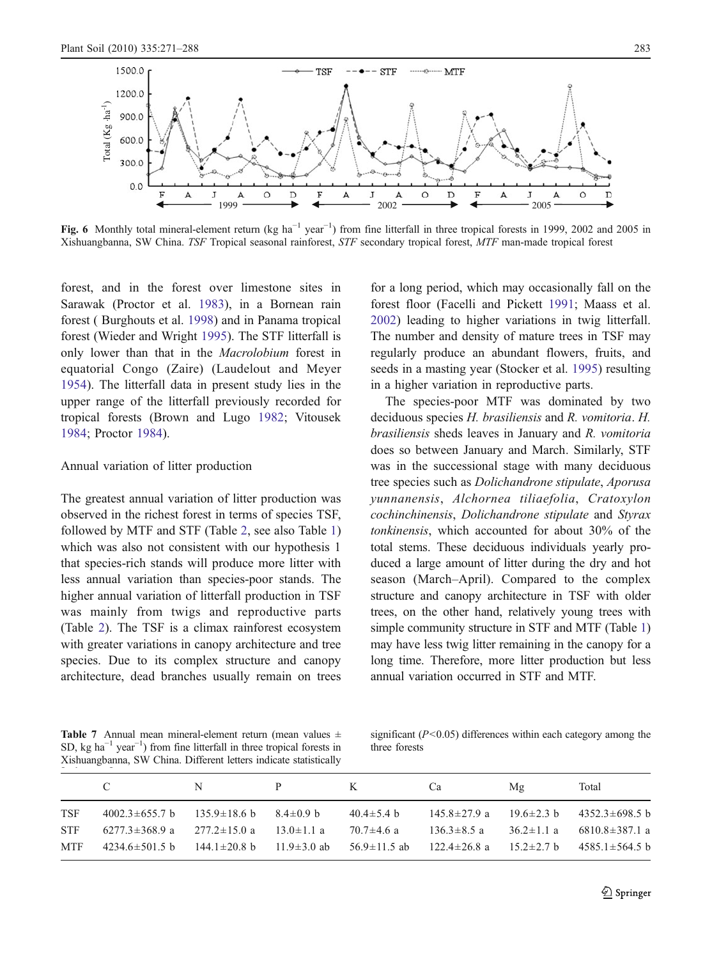<span id="page-12-0"></span>

Fig. 6 Monthly total mineral-element return (kg ha<sup>-1</sup> year<sup>-1</sup>) from fine litterfall in three tropical forests in 1999, 2002 and 2005 in Xishuangbanna, SW China. TSF Tropical seasonal rainforest, STF secondary tropical forest, MTF man-made tropical forest

forest, and in the forest over limestone sites in Sarawak (Proctor et al. [1983\)](#page-16-0), in a Bornean rain forest ( Burghouts et al. [1998](#page-15-0)) and in Panama tropical forest (Wieder and Wright [1995\)](#page-17-0). The STF litterfall is only lower than that in the Macrolobium forest in equatorial Congo (Zaire) (Laudelout and Meyer [1954\)](#page-16-0). The litterfall data in present study lies in the upper range of the litterfall previously recorded for tropical forests (Brown and Lugo [1982](#page-15-0); Vitousek [1984;](#page-16-0) Proctor [1984](#page-16-0)).

#### Annual variation of litter production

The greatest annual variation of litter production was observed in the richest forest in terms of species TSF, followed by MTF and STF (Table [2](#page-5-0), see also Table [1\)](#page-3-0) which was also not consistent with our hypothesis 1 that species-rich stands will produce more litter with less annual variation than species-poor stands. The higher annual variation of litterfall production in TSF was mainly from twigs and reproductive parts (Table [2\)](#page-5-0). The TSF is a climax rainforest ecosystem with greater variations in canopy architecture and tree species. Due to its complex structure and canopy architecture, dead branches usually remain on trees for a long period, which may occasionally fall on the forest floor (Facelli and Pickett [1991;](#page-15-0) Maass et al. [2002\)](#page-16-0) leading to higher variations in twig litterfall. The number and density of mature trees in TSF may regularly produce an abundant flowers, fruits, and seeds in a masting year (Stocker et al. [1995\)](#page-16-0) resulting in a higher variation in reproductive parts.

The species-poor MTF was dominated by two deciduous species H. brasiliensis and R. vomitoria. H. brasiliensis sheds leaves in January and R. vomitoria does so between January and March. Similarly, STF was in the successional stage with many deciduous tree species such as Dolichandrone stipulate, Aporusa yunnanensis, Alchornea tiliaefolia, Cratoxylon cochinchinensis, Dolichandrone stipulate and Styrax tonkinensis, which accounted for about 30% of the total stems. These deciduous individuals yearly produced a large amount of litter during the dry and hot season (March–April). Compared to the complex structure and canopy architecture in TSF with older trees, on the other hand, relatively young trees with simple community structure in STF and MTF (Table [1](#page-3-0)) may have less twig litter remaining in the canopy for a long time. Therefore, more litter production but less annual variation occurred in STF and MTF.

Table 7 Annual mean mineral-element return (mean values ± SD, kg ha<sup> $-1$ </sup> year<sup> $-1$ </sup>) from fine litterfall in three tropical forests in Xishuangbanna, SW China. Different letters indicate statistically

is the mean values  $\pm$  significant (P<0.05) differences within each category among the form fine litterfall in three tropical forests in three forests three forests

|            | C.                   | N                                                  | P                 | $K$ $-$          | Ca                | Mg               | Total                                                    |
|------------|----------------------|----------------------------------------------------|-------------------|------------------|-------------------|------------------|----------------------------------------------------------|
| TSF        | $4002.3 \pm 655.7$ b | $135.9 \pm 18.6 \text{ b}$ $8.4 \pm 0.9 \text{ b}$ |                   | $40.4 \pm 5.4$ b | 145.8±27.9 a      |                  | $19.6 \pm 2.3 \text{ b}$ $4352.3 \pm 698.5 \text{ b}$    |
| STF.       | 6277.3±368.9 a       | $277.2 \pm 15.0$ a                                 | $13.0 \pm 1.1$ a  | 70.7±4.6 a       | $136.3 \pm 8.5$ a | $36.2 \pm 1.1$ a | 6810.8±387.1 a                                           |
| <b>MTF</b> | $4234.6 \pm 501.5$ b | $144.1 \pm 20.8$ b                                 | $11.9 \pm 3.0$ ab | 56.9±11.5 ab     |                   |                  | $122.4 \pm 26.8$ a $15.2 \pm 2.7$ b $4585.1 \pm 564.5$ b |
|            |                      |                                                    |                   |                  |                   |                  |                                                          |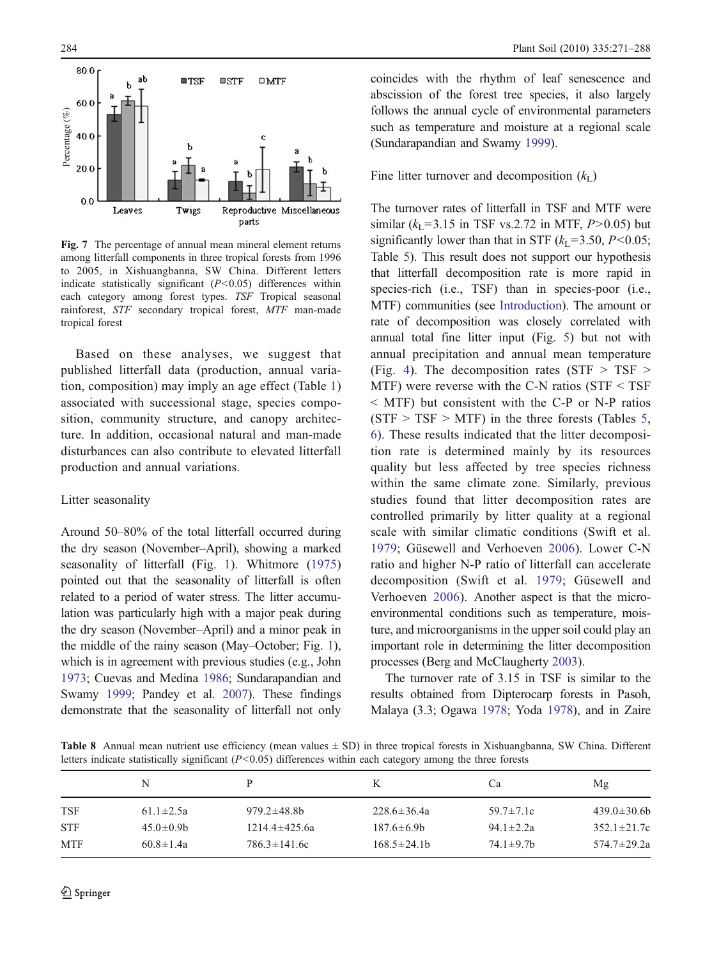<span id="page-13-0"></span>

Fig. 7 The percentage of annual mean mineral element returns among litterfall components in three tropical forests from 1996 to 2005, in Xishuangbanna, SW China. Different letters indicate statistically significant  $(P<0.05)$  differences within each category among forest types. TSF Tropical seasonal rainforest, STF secondary tropical forest, MTF man-made tropical forest

Based on these analyses, we suggest that published litterfall data (production, annual variation, composition) may imply an age effect (Table [1\)](#page-3-0) associated with successional stage, species composition, community structure, and canopy architecture. In addition, occasional natural and man-made disturbances can also contribute to elevated litterfall production and annual variations.

#### Litter seasonality

Around 50–80% of the total litterfall occurred during the dry season (November–April), showing a marked seasonality of litterfall (Fig. [1](#page-6-0)). Whitmore ([1975\)](#page-17-0) pointed out that the seasonality of litterfall is often related to a period of water stress. The litter accumulation was particularly high with a major peak during the dry season (November–April) and a minor peak in the middle of the rainy season (May–October; Fig. [1\)](#page-6-0), which is in agreement with previous studies (e.g., John [1973](#page-16-0); Cuevas and Medina [1986;](#page-15-0) Sundarapandian and Swamy [1999](#page-16-0); Pandey et al. [2007\)](#page-16-0). These findings demonstrate that the seasonality of litterfall not only coincides with the rhythm of leaf senescence and abscission of the forest tree species, it also largely follows the annual cycle of environmental parameters such as temperature and moisture at a regional scale (Sundarapandian and Swamy [1999](#page-16-0)).

Fine litter turnover and decomposition  $(k<sub>L</sub>)$ 

The turnover rates of litterfall in TSF and MTF were similar ( $k_1$ =3.15 in TSF vs.2.72 in MTF, P>0.05) but significantly lower than that in STF  $(k<sub>L</sub>=3.50, P<0.05;$ Table [5](#page-9-0)). This result does not support our hypothesis that litterfall decomposition rate is more rapid in species-rich (i.e., TSF) than in species-poor (i.e., MTF) communities (see [Introduction\)](#page-0-0). The amount or rate of decomposition was closely correlated with annual total fine litter input (Fig. [5\)](#page-10-0) but not with annual precipitation and annual mean temperature (Fig. [4](#page-9-0)). The decomposition rates ( $STF > TSF >$ MTF) were reverse with the C-N ratios ( $STF < TSF$ ) < MTF) but consistent with the C-P or N-P ratios  $(STF > TSF > MTF)$  in the three forests (Tables [5,](#page-9-0) [6\)](#page-11-0). These results indicated that the litter decomposition rate is determined mainly by its resources quality but less affected by tree species richness within the same climate zone. Similarly, previous studies found that litter decomposition rates are controlled primarily by litter quality at a regional scale with similar climatic conditions (Swift et al. [1979](#page-16-0); Güsewell and Verhoeven [2006](#page-15-0)). Lower C-N ratio and higher N-P ratio of litterfall can accelerate decomposition (Swift et al. [1979](#page-16-0); Güsewell and Verhoeven [2006\)](#page-15-0). Another aspect is that the microenvironmental conditions such as temperature, moisture, and microorganisms in the upper soil could play an important role in determining the litter decomposition processes (Berg and McClaugherty [2003](#page-15-0)).

The turnover rate of 3.15 in TSF is similar to the results obtained from Dipterocarp forests in Pasoh, Malaya (3.3; Ogawa [1978;](#page-16-0) Yoda [1978](#page-17-0)), and in Zaire

Table 8 Annual mean nutrient use efficiency (mean values ± SD) in three tropical forests in Xishuangbanna, SW China. Different letters indicate statistically significant  $(P<0.05)$  differences within each category among the three forests

|            | N                |                     | K                 | Cа               | Mg                |
|------------|------------------|---------------------|-------------------|------------------|-------------------|
| <b>TSF</b> | $61.1 \pm 2.5a$  | $979.2 \pm 48.8$    | $228.6 \pm 36.4a$ | $59.7 \pm 7.1c$  | $439.0 \pm 30.6$  |
| <b>STF</b> | $45.0 \pm 0.9$ b | $1214.4 \pm 425.6a$ | $187.6 \pm 6.9$ b | $94.1 \pm 2.2a$  | $352.1 \pm 21.7c$ |
| <b>MTF</b> | $60.8 \pm 1.4a$  | $786.3 \pm 141.6c$  | $168.5 \pm 24.1$  | $74.1 \pm 9.7$ b | $574.7 \pm 29.2a$ |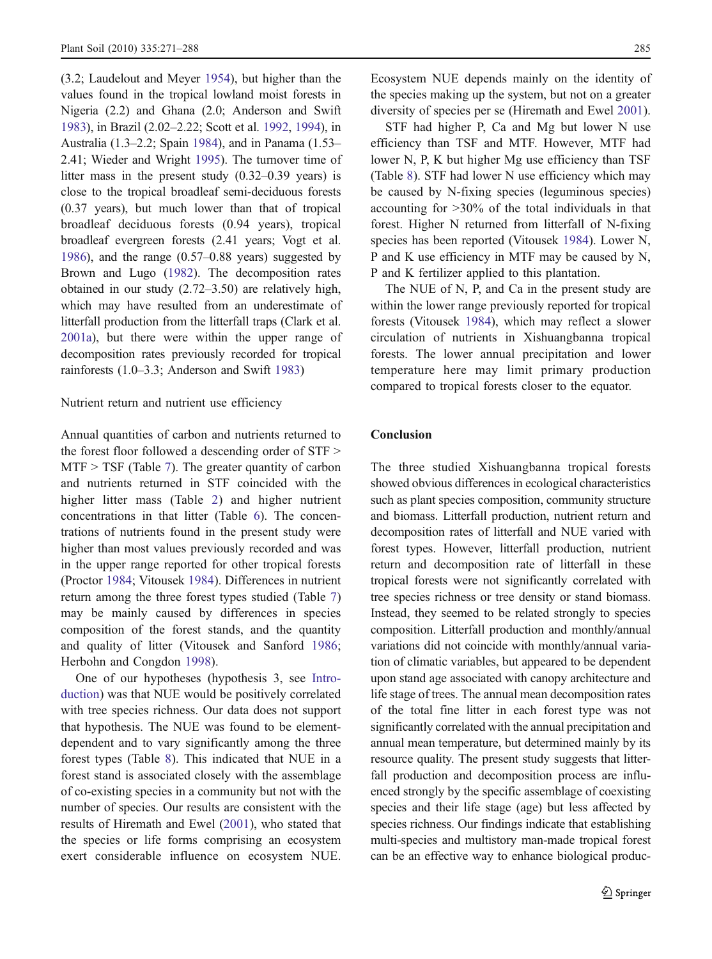(3.2; Laudelout and Meyer [1954\)](#page-16-0), but higher than the values found in the tropical lowland moist forests in Nigeria (2.2) and Ghana (2.0; Anderson and Swift [1983](#page-15-0)), in Brazil (2.02–2.22; Scott et al. [1992,](#page-16-0) [1994](#page-16-0)), in Australia (1.3–2.2; Spain [1984](#page-16-0)), and in Panama (1.53– 2.41; Wieder and Wright [1995](#page-17-0)). The turnover time of litter mass in the present study (0.32–0.39 years) is close to the tropical broadleaf semi-deciduous forests (0.37 years), but much lower than that of tropical broadleaf deciduous forests (0.94 years), tropical broadleaf evergreen forests (2.41 years; Vogt et al. [1986](#page-16-0)), and the range (0.57–0.88 years) suggested by Brown and Lugo [\(1982\)](#page-15-0). The decomposition rates obtained in our study (2.72–3.50) are relatively high, which may have resulted from an underestimate of litterfall production from the litterfall traps (Clark et al. [2001a\)](#page-15-0), but there were within the upper range of decomposition rates previously recorded for tropical rainforests (1.0–3.3; Anderson and Swift [1983\)](#page-15-0)

# Nutrient return and nutrient use efficiency

Annual quantities of carbon and nutrients returned to the forest floor followed a descending order of STF > MTF > TSF (Table [7\)](#page-12-0). The greater quantity of carbon and nutrients returned in STF coincided with the higher litter mass (Table [2\)](#page-5-0) and higher nutrient concentrations in that litter (Table [6\)](#page-11-0). The concentrations of nutrients found in the present study were higher than most values previously recorded and was in the upper range reported for other tropical forests (Proctor [1984;](#page-16-0) Vitousek [1984\)](#page-16-0). Differences in nutrient return among the three forest types studied (Table [7\)](#page-12-0) may be mainly caused by differences in species composition of the forest stands, and the quantity and quality of litter (Vitousek and Sanford [1986](#page-16-0); Herbohn and Congdon [1998](#page-15-0)).

One of our hypotheses (hypothesis 3, see [Intro](#page-0-0)[duction\)](#page-0-0) was that NUE would be positively correlated with tree species richness. Our data does not support that hypothesis. The NUE was found to be elementdependent and to vary significantly among the three forest types (Table [8\)](#page-13-0). This indicated that NUE in a forest stand is associated closely with the assemblage of co-existing species in a community but not with the number of species. Our results are consistent with the results of Hiremath and Ewel ([2001\)](#page-15-0), who stated that the species or life forms comprising an ecosystem exert considerable influence on ecosystem NUE. Ecosystem NUE depends mainly on the identity of the species making up the system, but not on a greater diversity of species per se (Hiremath and Ewel [2001\)](#page-15-0).

STF had higher P, Ca and Mg but lower N use efficiency than TSF and MTF. However, MTF had lower N, P, K but higher Mg use efficiency than TSF (Table [8\)](#page-13-0). STF had lower N use efficiency which may be caused by N-fixing species (leguminous species) accounting for >30% of the total individuals in that forest. Higher N returned from litterfall of N-fixing species has been reported (Vitousek [1984\)](#page-16-0). Lower N, P and K use efficiency in MTF may be caused by N, P and K fertilizer applied to this plantation.

The NUE of N, P, and Ca in the present study are within the lower range previously reported for tropical forests (Vitousek [1984\)](#page-16-0), which may reflect a slower circulation of nutrients in Xishuangbanna tropical forests. The lower annual precipitation and lower temperature here may limit primary production compared to tropical forests closer to the equator.

# Conclusion

The three studied Xishuangbanna tropical forests showed obvious differences in ecological characteristics such as plant species composition, community structure and biomass. Litterfall production, nutrient return and decomposition rates of litterfall and NUE varied with forest types. However, litterfall production, nutrient return and decomposition rate of litterfall in these tropical forests were not significantly correlated with tree species richness or tree density or stand biomass. Instead, they seemed to be related strongly to species composition. Litterfall production and monthly/annual variations did not coincide with monthly/annual variation of climatic variables, but appeared to be dependent upon stand age associated with canopy architecture and life stage of trees. The annual mean decomposition rates of the total fine litter in each forest type was not significantly correlated with the annual precipitation and annual mean temperature, but determined mainly by its resource quality. The present study suggests that litterfall production and decomposition process are influenced strongly by the specific assemblage of coexisting species and their life stage (age) but less affected by species richness. Our findings indicate that establishing multi-species and multistory man-made tropical forest can be an effective way to enhance biological produc-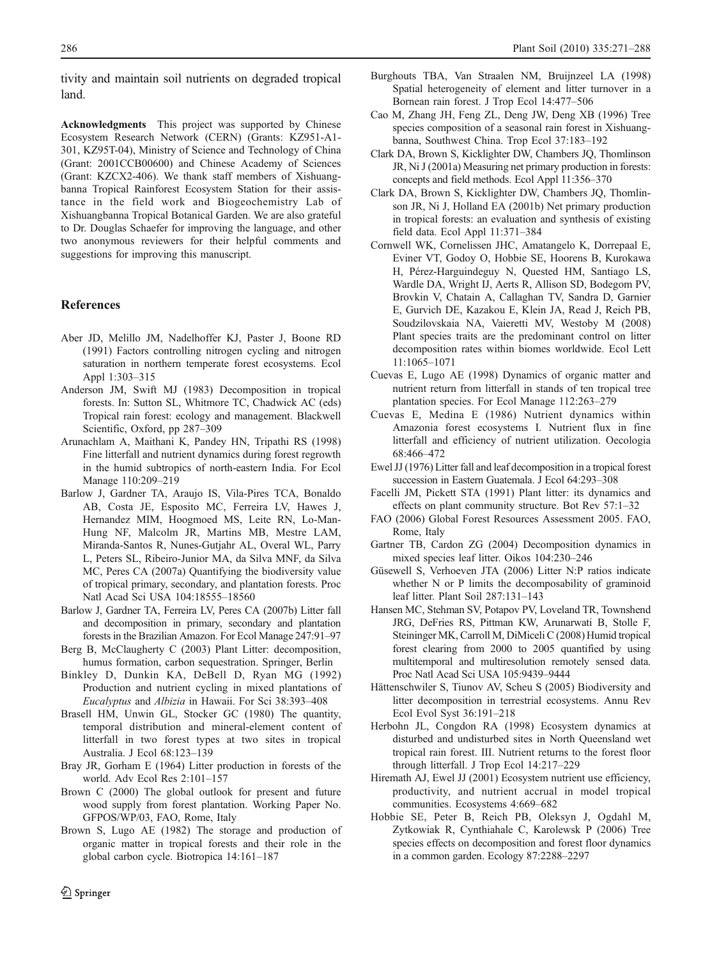<span id="page-15-0"></span>tivity and maintain soil nutrients on degraded tropical land.

Acknowledgments This project was supported by Chinese Ecosystem Research Network (CERN) (Grants: KZ951-A1- 301, KZ95T-04), Ministry of Science and Technology of China (Grant: 2001CCB00600) and Chinese Academy of Sciences (Grant: KZCX2-406). We thank staff members of Xishuangbanna Tropical Rainforest Ecosystem Station for their assistance in the field work and Biogeochemistry Lab of Xishuangbanna Tropical Botanical Garden. We are also grateful to Dr. Douglas Schaefer for improving the language, and other two anonymous reviewers for their helpful comments and suggestions for improving this manuscript.

#### References

- Aber JD, Melillo JM, Nadelhoffer KJ, Paster J, Boone RD (1991) Factors controlling nitrogen cycling and nitrogen saturation in northern temperate forest ecosystems. Ecol Appl 1:303–315
- Anderson JM, Swift MJ (1983) Decomposition in tropical forests. In: Sutton SL, Whitmore TC, Chadwick AC (eds) Tropical rain forest: ecology and management. Blackwell Scientific, Oxford, pp 287–309
- Arunachlam A, Maithani K, Pandey HN, Tripathi RS (1998) Fine litterfall and nutrient dynamics during forest regrowth in the humid subtropics of north-eastern India. For Ecol Manage 110:209–219
- Barlow J, Gardner TA, Araujo IS, Vila-Pires TCA, Bonaldo AB, Costa JE, Esposito MC, Ferreira LV, Hawes J, Hernandez MIM, Hoogmoed MS, Leite RN, Lo-Man-Hung NF, Malcolm JR, Martins MB, Mestre LAM, Miranda-Santos R, Nunes-Gutjahr AL, Overal WL, Parry L, Peters SL, Ribeiro-Junior MA, da Silva MNF, da Silva MC, Peres CA (2007a) Quantifying the biodiversity value of tropical primary, secondary, and plantation forests. Proc Natl Acad Sci USA 104:18555–18560
- Barlow J, Gardner TA, Ferreira LV, Peres CA (2007b) Litter fall and decomposition in primary, secondary and plantation forests in the Brazilian Amazon. For Ecol Manage 247:91–97
- Berg B, McClaugherty C (2003) Plant Litter: decomposition, humus formation, carbon sequestration. Springer, Berlin
- Binkley D, Dunkin KA, DeBell D, Ryan MG (1992) Production and nutrient cycling in mixed plantations of Eucalyptus and Albizia in Hawaii. For Sci 38:393–408
- Brasell HM, Unwin GL, Stocker GC (1980) The quantity, temporal distribution and mineral-element content of litterfall in two forest types at two sites in tropical Australia. J Ecol 68:123–139
- Bray JR, Gorham E (1964) Litter production in forests of the world. Adv Ecol Res 2:101–157
- Brown C (2000) The global outlook for present and future wood supply from forest plantation. Working Paper No. GFPOS/WP/03, FAO, Rome, Italy
- Brown S, Lugo AE (1982) The storage and production of organic matter in tropical forests and their role in the global carbon cycle. Biotropica 14:161–187
- Burghouts TBA, Van Straalen NM, Bruijnzeel LA (1998) Spatial heterogeneity of element and litter turnover in a Bornean rain forest. J Trop Ecol 14:477–506
- Cao M, Zhang JH, Feng ZL, Deng JW, Deng XB (1996) Tree species composition of a seasonal rain forest in Xishuangbanna, Southwest China. Trop Ecol 37:183–192
- Clark DA, Brown S, Kicklighter DW, Chambers JQ, Thomlinson JR, Ni J (2001a) Measuring net primary production in forests: concepts and field methods. Ecol Appl 11:356–370
- Clark DA, Brown S, Kicklighter DW, Chambers JQ, Thomlinson JR, Ni J, Holland EA (2001b) Net primary production in tropical forests: an evaluation and synthesis of existing field data. Ecol Appl 11:371–384
- Cornwell WK, Cornelissen JHC, Amatangelo K, Dorrepaal E, Eviner VT, Godoy O, Hobbie SE, Hoorens B, Kurokawa H, Pérez-Harguindeguy N, Quested HM, Santiago LS, Wardle DA, Wright IJ, Aerts R, Allison SD, Bodegom PV, Brovkin V, Chatain A, Callaghan TV, Sandra D, Garnier E, Gurvich DE, Kazakou E, Klein JA, Read J, Reich PB, Soudzilovskaia NA, Vaieretti MV, Westoby M (2008) Plant species traits are the predominant control on litter decomposition rates within biomes worldwide. Ecol Lett 11:1065–1071
- Cuevas E, Lugo AE (1998) Dynamics of organic matter and nutrient return from litterfall in stands of ten tropical tree plantation species. For Ecol Manage 112:263–279
- Cuevas E, Medina E (1986) Nutrient dynamics within Amazonia forest ecosystems I. Nutrient flux in fine litterfall and efficiency of nutrient utilization. Oecologia 68:466–472
- Ewel JJ (1976) Litter fall and leaf decomposition in a tropical forest succession in Eastern Guatemala. J Ecol 64:293–308
- Facelli JM, Pickett STA (1991) Plant litter: its dynamics and effects on plant community structure. Bot Rev 57:1–32
- FAO (2006) Global Forest Resources Assessment 2005. FAO, Rome, Italy
- Gartner TB, Cardon ZG (2004) Decomposition dynamics in mixed species leaf litter. Oikos 104:230–246
- Güsewell S, Verhoeven JTA (2006) Litter N:P ratios indicate whether N or P limits the decomposability of graminoid leaf litter. Plant Soil 287:131–143
- Hansen MC, Stehman SV, Potapov PV, Loveland TR, Townshend JRG, DeFries RS, Pittman KW, Arunarwati B, Stolle F, Steininger MK, Carroll M, DiMiceli C (2008) Humid tropical forest clearing from 2000 to 2005 quantified by using multitemporal and multiresolution remotely sensed data. Proc Natl Acad Sci USA 105:9439–9444
- Hättenschwiler S, Tiunov AV, Scheu S (2005) Biodiversity and litter decomposition in terrestrial ecosystems. Annu Rev Ecol Evol Syst 36:191–218
- Herbohn JL, Congdon RA (1998) Ecosystem dynamics at disturbed and undisturbed sites in North Queensland wet tropical rain forest. III. Nutrient returns to the forest floor through litterfall. J Trop Ecol 14:217–229
- Hiremath AJ, Ewel JJ (2001) Ecosystem nutrient use efficiency, productivity, and nutrient accrual in model tropical communities. Ecosystems 4:669–682
- Hobbie SE, Peter B, Reich PB, Oleksyn J, Ogdahl M, Zytkowiak R, Cynthiahale C, Karolewsk P (2006) Tree species effects on decomposition and forest floor dynamics in a common garden. Ecology 87:2288–2297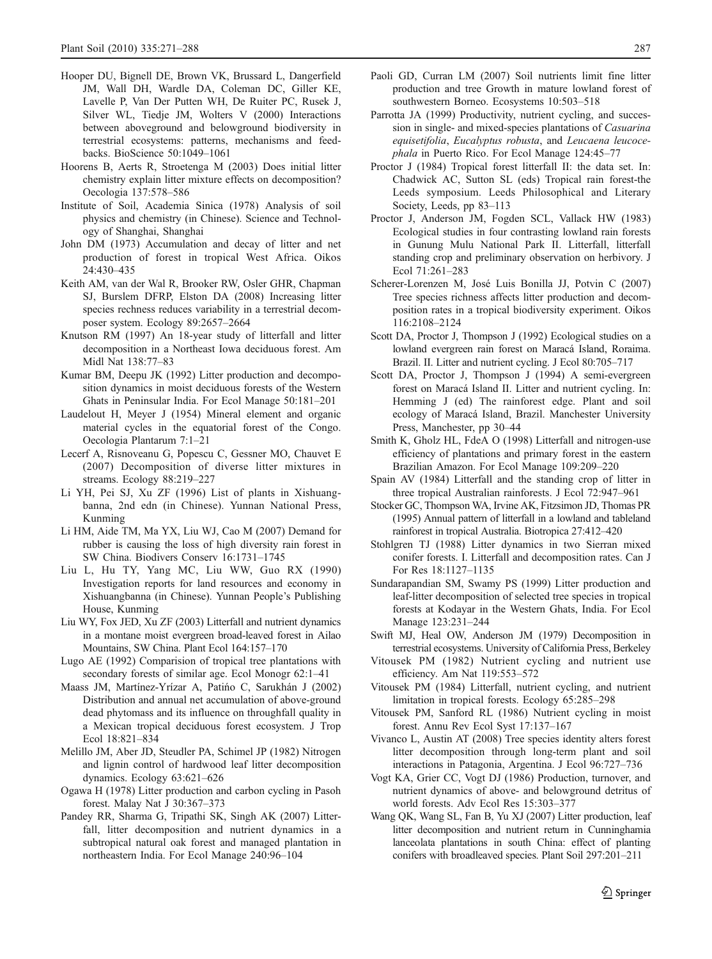- <span id="page-16-0"></span>Hooper DU, Bignell DE, Brown VK, Brussard L, Dangerfield JM, Wall DH, Wardle DA, Coleman DC, Giller KE, Lavelle P, Van Der Putten WH, De Ruiter PC, Rusek J, Silver WL, Tiedje JM, Wolters V (2000) Interactions between aboveground and belowground biodiversity in terrestrial ecosystems: patterns, mechanisms and feedbacks. BioScience 50:1049–1061
- Hoorens B, Aerts R, Stroetenga M (2003) Does initial litter chemistry explain litter mixture effects on decomposition? Oecologia 137:578–586
- Institute of Soil, Academia Sinica (1978) Analysis of soil physics and chemistry (in Chinese). Science and Technology of Shanghai, Shanghai
- John DM (1973) Accumulation and decay of litter and net production of forest in tropical West Africa. Oikos 24:430–435
- Keith AM, van der Wal R, Brooker RW, Osler GHR, Chapman SJ, Burslem DFRP, Elston DA (2008) Increasing litter species rechness reduces variability in a terrestrial decomposer system. Ecology 89:2657–2664
- Knutson RM (1997) An 18-year study of litterfall and litter decomposition in a Northeast Iowa deciduous forest. Am Midl Nat 138:77–83
- Kumar BM, Deepu JK (1992) Litter production and decomposition dynamics in moist deciduous forests of the Western Ghats in Peninsular India. For Ecol Manage 50:181–201
- Laudelout H, Meyer J (1954) Mineral element and organic material cycles in the equatorial forest of the Congo. Oecologia Plantarum 7:1–21
- Lecerf A, Risnoveanu G, Popescu C, Gessner MO, Chauvet E (2007) Decomposition of diverse litter mixtures in streams. Ecology 88:219–227
- Li YH, Pei SJ, Xu ZF (1996) List of plants in Xishuangbanna, 2nd edn (in Chinese). Yunnan National Press, Kunming
- Li HM, Aide TM, Ma YX, Liu WJ, Cao M (2007) Demand for rubber is causing the loss of high diversity rain forest in SW China. Biodivers Conserv 16:1731–1745
- Liu L, Hu TY, Yang MC, Liu WW, Guo RX (1990) Investigation reports for land resources and economy in Xishuangbanna (in Chinese). Yunnan People's Publishing House, Kunming
- Liu WY, Fox JED, Xu ZF (2003) Litterfall and nutrient dynamics in a montane moist evergreen broad-leaved forest in Ailao Mountains, SW China. Plant Ecol 164:157–170
- Lugo AE (1992) Comparision of tropical tree plantations with secondary forests of similar age. Ecol Monogr 62:1–41
- Maass JM, Martínez-Yrízar A, Patińo C, Sarukhán J (2002) Distribution and annual net accumulation of above-ground dead phytomass and its influence on throughfall quality in a Mexican tropical deciduous forest ecosystem. J Trop Ecol 18:821–834
- Melillo JM, Aber JD, Steudler PA, Schimel JP (1982) Nitrogen and lignin control of hardwood leaf litter decomposition dynamics. Ecology 63:621–626
- Ogawa H (1978) Litter production and carbon cycling in Pasoh forest. Malay Nat J 30:367–373
- Pandey RR, Sharma G, Tripathi SK, Singh AK (2007) Litterfall, litter decomposition and nutrient dynamics in a subtropical natural oak forest and managed plantation in northeastern India. For Ecol Manage 240:96–104
- 
- Paoli GD, Curran LM (2007) Soil nutrients limit fine litter production and tree Growth in mature lowland forest of southwestern Borneo. Ecosystems 10:503–518
- Parrotta JA (1999) Productivity, nutrient cycling, and succession in single- and mixed-species plantations of Casuarina equisetifolia, Eucalyptus robusta, and Leucaena leucocephala in Puerto Rico. For Ecol Manage 124:45–77
- Proctor J (1984) Tropical forest litterfall II: the data set. In: Chadwick AC, Sutton SL (eds) Tropical rain forest-the Leeds symposium. Leeds Philosophical and Literary Society, Leeds, pp 83–113
- Proctor J, Anderson JM, Fogden SCL, Vallack HW (1983) Ecological studies in four contrasting lowland rain forests in Gunung Mulu National Park II. Litterfall, litterfall standing crop and preliminary observation on herbivory. J Ecol 71:261–283
- Scherer-Lorenzen M, José Luis Bonilla JJ, Potvin C (2007) Tree species richness affects litter production and decomposition rates in a tropical biodiversity experiment. Oikos 116:2108–2124
- Scott DA, Proctor J, Thompson J (1992) Ecological studies on a lowland evergreen rain forest on Maracá Island, Roraima. Brazil. II. Litter and nutrient cycling. J Ecol 80:705–717
- Scott DA, Proctor J, Thompson J (1994) A semi-evergreen forest on Maracá Island II. Litter and nutrient cycling. In: Hemming J (ed) The rainforest edge. Plant and soil ecology of Maracá Island, Brazil. Manchester University Press, Manchester, pp 30–44
- Smith K, Gholz HL, FdeA O (1998) Litterfall and nitrogen-use efficiency of plantations and primary forest in the eastern Brazilian Amazon. For Ecol Manage 109:209–220
- Spain AV (1984) Litterfall and the standing crop of litter in three tropical Australian rainforests. J Ecol 72:947–961
- Stocker GC, Thompson WA, Irvine AK, Fitzsimon JD, Thomas PR (1995) Annual pattern of litterfall in a lowland and tableland rainforest in tropical Australia. Biotropica 27:412–420
- Stohlgren TJ (1988) Litter dynamics in two Sierran mixed conifer forests. I. Litterfall and decomposition rates. Can J For Res 18:1127–1135
- Sundarapandian SM, Swamy PS (1999) Litter production and leaf-litter decomposition of selected tree species in tropical forests at Kodayar in the Western Ghats, India. For Ecol Manage 123:231–244
- Swift MJ, Heal OW, Anderson JM (1979) Decomposition in terrestrial ecosystems. University of California Press, Berkeley
- Vitousek PM (1982) Nutrient cycling and nutrient use efficiency. Am Nat 119:553–572
- Vitousek PM (1984) Litterfall, nutrient cycling, and nutrient limitation in tropical forests. Ecology 65:285–298
- Vitousek PM, Sanford RL (1986) Nutrient cycling in moist forest. Annu Rev Ecol Syst 17:137–167
- Vivanco L, Austin AT (2008) Tree species identity alters forest litter decomposition through long-term plant and soil interactions in Patagonia, Argentina. J Ecol 96:727–736
- Vogt KA, Grier CC, Vogt DJ (1986) Production, turnover, and nutrient dynamics of above- and belowground detritus of world forests. Adv Ecol Res 15:303–377
- Wang QK, Wang SL, Fan B, Yu XJ (2007) Litter production, leaf litter decomposition and nutrient return in Cunninghamia lanceolata plantations in south China: effect of planting conifers with broadleaved species. Plant Soil 297:201–211